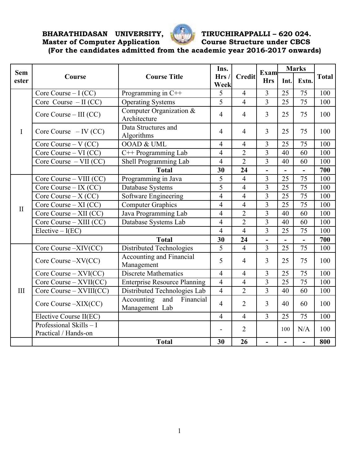**BHARATHIDASAN UNIVERSITY, TIRUCHIRAPPALLI – 620 024.** 



# **Master of Computer Application Course Structure under CBCS**

**(For the candidates admitted from the academic year 2016-2017 onwards)** 

| <b>Sem</b>   | Course                                          |                                                  | Ins.<br>Hrs/<br>Week | <b>Credit</b>  | Exam<br><b>Hrs</b> | <b>Marks</b>             |                 |              |
|--------------|-------------------------------------------------|--------------------------------------------------|----------------------|----------------|--------------------|--------------------------|-----------------|--------------|
| ester        |                                                 | <b>Course Title</b>                              |                      |                |                    | Int.                     | Extn.           | <b>Total</b> |
| I            | Core Course $-I (CC)$                           | Programming in $C++$                             | 5                    | $\overline{4}$ | $\overline{3}$     | 25                       | 75              | 100          |
|              | Core Course $-II$ (CC)                          | <b>Operating Systems</b>                         | $\overline{5}$       | $\overline{4}$ | $\overline{3}$     | 25                       | 75              | 100          |
|              | Core Course $-$ III (CC)                        | Computer Organization &<br>Architecture          | $\overline{4}$       | $\overline{4}$ | $\overline{3}$     | 25                       | 75              | 100          |
|              | Core Course $-$ IV (CC)                         | Data Structures and<br>Algorithms                | $\overline{4}$       | 4              | $\overline{3}$     | 25                       | 75              | 100          |
|              | Core Course – $V$ (CC)                          | OOAD & UML                                       | $\overline{4}$       | $\overline{4}$ | $\overline{3}$     | 25                       | 75              | 100          |
|              | Core Course $-VI$ (CC)                          | $C++$ Programming Lab                            | $\overline{4}$       | $\overline{2}$ | $\overline{3}$     | 40                       | 60              | 100          |
|              | Core Course $-VII$ (CC)                         | Shell Programming Lab                            | $\overline{4}$       | $\overline{2}$ | $\overline{3}$     | 40                       | 60              | 100          |
|              |                                                 | <b>Total</b>                                     | 30                   | 24             |                    | $\overline{\phantom{0}}$ |                 | 700          |
|              | Core Course - VIII (CC)                         | Programming in Java                              | $\overline{5}$       | $\overline{4}$ | $\overline{3}$     | 25                       | 75              | 100          |
|              | Core Course – IX $(CC)$                         | Database Systems                                 | $\overline{5}$       | $\overline{4}$ | $\overline{3}$     | 25                       | 75              | 100          |
|              | Core Course $- X (CC)$                          | Software Engineering                             | $\overline{4}$       | $\overline{4}$ | $\overline{3}$     | 25                       | 75              | 100          |
| $\mathbf{I}$ | Core Course $- XI (CC)$                         | <b>Computer Graphics</b>                         | $\overline{4}$       | $\overline{4}$ | $\overline{3}$     | 25                       | 75              | 100          |
|              | Core Course $-$ XII (CC)                        | Java Programming Lab                             | $\overline{4}$       | $\overline{2}$ | 3                  | 40                       | 60              | 100          |
|              | Core Course $-$ XIII (CC)                       | Database Systems Lab                             | $\overline{4}$       | $\overline{2}$ | $\overline{3}$     | 40                       | 60              | 100          |
|              | $Electric-I(EC)$                                |                                                  | $\overline{4}$       | $\overline{4}$ | $\overline{3}$     | 25                       | 75              | 100          |
|              |                                                 | <b>Total</b>                                     | 30                   | 24             | $\blacksquare$     | $\overline{a}$           | $\blacksquare$  | 700          |
|              | Core Course -XIV(CC)                            | Distributed Technologies                         | 5                    | $\overline{4}$ | $\overline{3}$     | 25                       | 75              | 100          |
|              | Core Course $-XV(CC)$                           | Accounting and Financial<br>Management           | 5                    | $\overline{4}$ | $\overline{3}$     | 25                       | 75              | 100          |
|              | Core Course $-$ XVI(CC)                         | <b>Discrete Mathematics</b>                      | $\overline{4}$       | $\overline{4}$ | $\overline{3}$     | 25                       | 75              | 100          |
|              | Core Course $-$ XVII(CC)                        | <b>Enterprise Resource Planning</b>              | $\overline{4}$       | $\overline{4}$ | $\overline{3}$     | 25                       | 75              | 100          |
| III          | Core Course – XVIII(CC)                         | Distributed Technologies Lab                     | $\overline{4}$       | $\overline{2}$ | $\overline{3}$     | 40                       | 60              | 100          |
|              | Core Course -XIX(CC)                            | Accounting<br>Financial<br>and<br>Management Lab | $\overline{4}$       | $\overline{2}$ | $\overline{3}$     | 40                       | 60              | 100          |
|              | Elective Course II(EC)                          |                                                  | $\overline{4}$       | $\overline{4}$ | $\overline{3}$     | $\overline{25}$          | $\overline{75}$ | 100          |
|              | Professional Skills - I<br>Practical / Hands-on |                                                  | $\overline{a}$       | $\overline{2}$ |                    | 100                      | N/A             | 100          |
|              |                                                 | <b>Total</b>                                     | 30                   | 26             | $\overline{a}$     | $\overline{a}$           | $\overline{a}$  | 800          |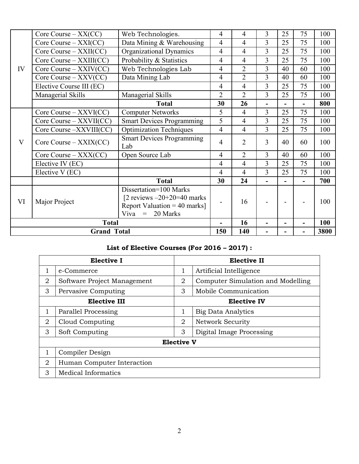| IV                 | Core Course $-$ XX(CC)      | Web Technologies.                                                                                                       | 4              | $\overline{4}$ | 3              | 25 | 75                       | 100  |
|--------------------|-----------------------------|-------------------------------------------------------------------------------------------------------------------------|----------------|----------------|----------------|----|--------------------------|------|
|                    | $Core$ Course $-$ XXI(CC)   | Data Mining & Warehousing                                                                                               | 4              | $\overline{4}$ | 3              | 25 | 75                       | 100  |
|                    | Core Course $-$ XXII(CC)    | Organizational Dynamics                                                                                                 | 4              | $\overline{4}$ | 3              | 25 | 75                       | 100  |
|                    | $Core$ Course $-$ XXIII(CC) | Probability & Statistics                                                                                                | 4              | $\overline{4}$ | $\overline{3}$ | 25 | 75                       | 100  |
|                    | Core Course $-$ XXIV(CC)    | Web Technologies Lab                                                                                                    | 4              | $\overline{2}$ | 3              | 40 | 60                       | 100  |
|                    | Core Course $-$ XXV(CC)     | Data Mining Lab                                                                                                         | 4              | $\overline{2}$ | 3              | 40 | 60                       | 100  |
|                    | Elective Course III (EC)    |                                                                                                                         | 4              | 4              | 3              | 25 | 75                       | 100  |
|                    | Managerial Skills           | Managerial Skills                                                                                                       | $\overline{2}$ | $\overline{2}$ | $\overline{3}$ | 25 | 75                       | 100  |
|                    |                             | <b>Total</b>                                                                                                            | 30             | 26             |                |    | $\overline{\phantom{0}}$ | 800  |
|                    | $Core$ Course $-$ XXVI(CC)  | <b>Computer Networks</b>                                                                                                | 5              | $\overline{4}$ | 3              | 25 | 75                       | 100  |
|                    | $Core Course - XXVII(CC)$   | <b>Smart Devices Programming</b>                                                                                        | 5              | $\overline{4}$ | $\overline{3}$ | 25 | 75                       | 100  |
|                    | Core Course -XXVIII(CC)     | <b>Optimization Techniques</b>                                                                                          | 4              | $\overline{4}$ | 3              | 25 | 75                       | 100  |
| V                  | $Core$ Course $-$ XXIX(CC)  | <b>Smart Devices Programming</b><br>Lab                                                                                 | 4              | $\overline{2}$ | 3              | 40 | 60                       | 100  |
|                    | Core Course $-$ XXX(CC)     | Open Source Lab                                                                                                         | 4              | $\overline{2}$ | 3              | 40 | 60                       | 100  |
|                    | Elective IV (EC)            |                                                                                                                         | $\overline{4}$ | $\overline{4}$ | $\overline{3}$ | 25 | 75                       | 100  |
|                    | Elective V (EC)             |                                                                                                                         | 4              | $\overline{4}$ | 3              | 25 | 75                       | 100  |
|                    |                             | <b>Total</b>                                                                                                            | 30             | 24             |                |    |                          | 700  |
| VI                 | Major Project               | Dissertation=100 Marks<br>[2 reviews $-20+20=40$ marks<br>Report Valuation = $40$ marks]<br>20 Marks<br>Viva<br>$\,=\,$ | 16<br>-        |                |                |    |                          | 100  |
| <b>Total</b>       |                             |                                                                                                                         | $\blacksquare$ | 16             |                |    | $\blacksquare$           | 100  |
| <b>Grand Total</b> |                             |                                                                                                                         | 150            | 140            |                |    |                          | 3800 |

# **List of Elective Courses (For 2016 – 2017) :**

| <b>Elective I</b> |                             |                              | Elective II                       |  |  |  |
|-------------------|-----------------------------|------------------------------|-----------------------------------|--|--|--|
|                   | e-Commerce                  | 1<br>Artificial Intelligence |                                   |  |  |  |
| 2                 | Software Project Management | 2                            | Computer Simulation and Modelling |  |  |  |
| 3                 | Pervasive Computing         | 3                            | Mobile Communication              |  |  |  |
|                   | <b>Elective III</b>         |                              | <b>Elective IV</b>                |  |  |  |
|                   | Parallel Processing         | 1                            | <b>Big Data Analytics</b>         |  |  |  |
| 2                 | Cloud Computing             | 2                            | Network Security                  |  |  |  |
| 3                 | Soft Computing              | 3                            | Digital Image Processing          |  |  |  |
|                   |                             | <b>Elective V</b>            |                                   |  |  |  |
| 1                 | Compiler Design             |                              |                                   |  |  |  |
| 2                 | Human Computer Interaction  |                              |                                   |  |  |  |
| 3                 | Medical Informatics         |                              |                                   |  |  |  |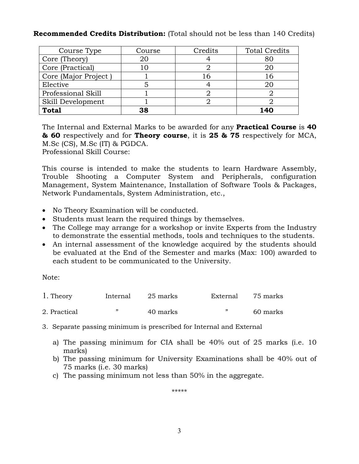# **Recommended Credits Distribution:** (Total should not be less than 140 Credits)

| Course Type          | Course | Credits | <b>Total Credits</b> |
|----------------------|--------|---------|----------------------|
| Core (Theory)        | 20     |         | 80                   |
| Core (Practical)     | 10     |         | 20                   |
| Core (Major Project) |        | 16      | 16                   |
| Elective             |        |         | 20                   |
| Professional Skill   |        |         |                      |
| Skill Development    |        |         |                      |
| <b>Total</b>         | 38     |         | 140                  |

The Internal and External Marks to be awarded for any **Practical Course** is **40 & 60** respectively and for **Theory course**, it is **25 & 75** respectively for MCA, M.Sc (CS), M.Sc (IT) & PGDCA.

Professional Skill Course:

This course is intended to make the students to learn Hardware Assembly, Trouble Shooting a Computer System and Peripherals, configuration Management, System Maintenance, Installation of Software Tools & Packages, Network Fundamentals, System Administration, etc.,

- No Theory Examination will be conducted.
- Students must learn the required things by themselves.
- The College may arrange for a workshop or invite Experts from the Industry to demonstrate the essential methods, tools and techniques to the students.
- An internal assessment of the knowledge acquired by the students should be evaluated at the End of the Semester and marks (Max: 100) awarded to each student to be communicated to the University.

Note:

| $\Lambda$ . Theory | Internal | 25 marks | External | 75 marks |
|--------------------|----------|----------|----------|----------|
| 2. Practical       |          | 40 marks |          | 60 marks |

- 3. Separate passing minimum is prescribed for Internal and External
	- a) The passing minimum for CIA shall be 40% out of 25 marks (i.e. 10 marks)
	- b) The passing minimum for University Examinations shall be 40% out of 75 marks (i.e. 30 marks)
	- c) The passing minimum not less than 50% in the aggregate.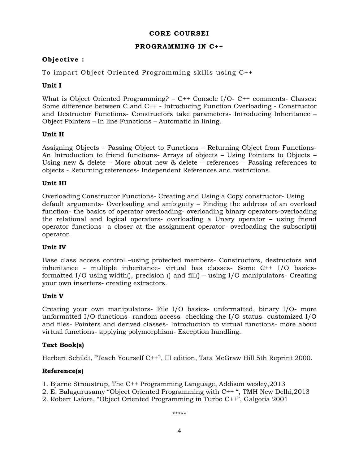# **CORE COURSEI**

### **PROGRAMMING IN C++**

# **Ob jective :**

To impart Object Oriented Programming skills using C++

# **Unit I**

What is Object Oriented Programming? – C++ Console I/O- C++ comments- Classes: Some difference between C and C++ - Introducing Function Overloading - Constructor and Destructor Functions- Constructors take parameters- Introducing Inheritance – Object Pointers – In line Functions – Automatic in lining.

# **Unit II**

Assigning Objects – Passing Object to Functions – Returning Object from Functions-An Introduction to friend functions- Arrays of objects – Using Pointers to Objects – Using new & delete – More about new & delete – references – Passing references to objects - Returning references- Independent References and restrictions.

### **Unit III**

Overloading Constructor Functions- Creating and Using a Copy constructor- Using default arguments- Overloading and ambiguity – Finding the address of an overload function- the basics of operator overloading- overloading binary operators-overloading the relational and logical operators- overloading a Unary operator – using friend operator functions- a closer at the assignment operator- overloading the subscript() operator.

# **Unit IV**

Base class access control –using protected members- Constructors, destructors and inheritance - multiple inheritance- virtual bas classes- Some C++ I/O basicsformatted I/O using width(), precision () and fill() – using I/O manipulators- Creating your own inserters- creating extractors.

#### **Unit V**

Creating your own manipulators- File I/O basics- unformatted, binary I/O- more unformatted I/O functions- random access- checking the I/O status- customized I/O and files- Pointers and derived classes- Introduction to virtual functions- more about virtual functions- applying polymorphism- Exception handling.

# **Text Book(s)**

Herbert Schildt, "Teach Yourself C++", III edition, Tata McGraw Hill 5th Reprint 2000.

# **Reference(s)**

- 1. Bjarne Stroustrup, The C++ Programming Language, Addison wesley,2013
- 2. E. Balagurusamy "Object Oriented Programming with C++ ", TMH New Delhi,2013
- 2. Robert Lafore, "Object Oriented Programming in Turbo C++", Galgotia 2001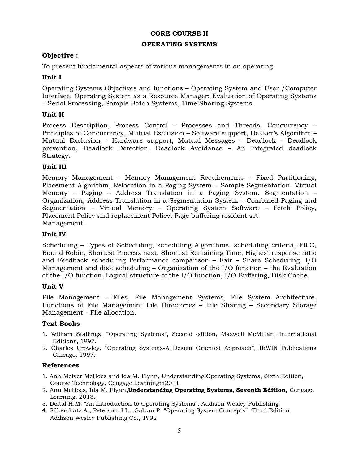### **CORE COURSE II**

#### **OPERATING SYSTEMS**

### **Objective :**

To present fundamental aspects of various managements in an operating

### **Unit I**

Operating Systems Objectives and functions – Operating System and User /Computer Interface, Operating System as a Resource Manager: Evaluation of Operating Systems – Serial Processing, Sample Batch Systems, Time Sharing Systems.

### **Unit II**

Process Description, Process Control – Processes and Threads. Concurrency – Principles of Concurrency, Mutual Exclusion – Software support, Dekker's Algorithm – Mutual Exclusion – Hardware support, Mutual Messages – Deadlock – Deadlock prevention, Deadlock Detection, Deadlock Avoidance – An Integrated deadlock Strategy.

### **Unit III**

Memory Management – Memory Management Requirements – Fixed Partitioning, Placement Algorithm, Relocation in a Paging System – Sample Segmentation. Virtual Memory – Paging – Address Translation in a Paging System. Segmentation – Organization, Address Translation in a Segmentation System – Combined Paging and Segmentation – Virtual Memory – Operating System Software – Fetch Policy, Placement Policy and replacement Policy, Page buffering resident set Management.

#### **Unit IV**

Scheduling – Types of Scheduling, scheduling Algorithms, scheduling criteria, FIFO, Round Robin, Shortest Process next, Shortest Remaining Time, Highest response ratio and Feedback scheduling Performance comparison – Fair – Share Scheduling. I/O Management and disk scheduling – Organization of the I/O function – the Evaluation of the I/O function, Logical structure of the I/O function, I/O Buffering, Disk Cache.

#### **Unit V**

File Management – Files, File Management Systems, File System Architecture, Functions of File Management File Directories – File Sharing – Secondary Storage Management – File allocation.

#### **Text Books**

- 1. William Stallings, "Operating Systems", Second edition, Maxwell McMillan, International Editions, 1997.
- 2. Charles Crowley, "Operating Systems-A Design Oriented Approach", IRWIN Publications Chicago, 1997.

#### **References**

- 1. Ann McIver McHoes and Ida M. Flynn, Understanding Operating Systems, Sixth Edition, Course Technology, Cengage Learningm2011
- 2**.** Ann McHoes, Ida M. Flynn**,Understanding Operating Systems, Seventh Edition,** Cengage Learning, 2013.
- 3. Deital H.M. "An Introduction to Operating Systems", Addison Wesley Publishing
- 4. Silberchatz A., Peterson J.L., Galvan P. "Operating System Concepts", Third Edition, Addison Wesley Publishing Co., 1992.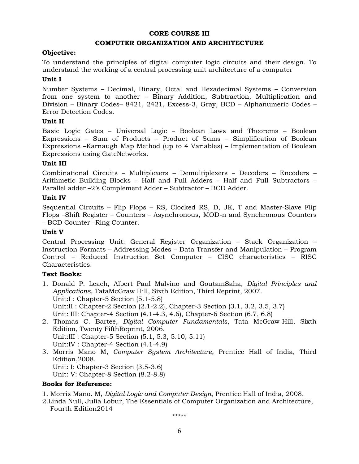#### **CORE COURSE III**

#### **COMPUTER ORGANIZATION AND ARCHITECTURE**

#### **Objective:**

To understand the principles of digital computer logic circuits and their design. To understand the working of a central processing unit architecture of a computer

#### **Unit I**

Number Systems – Decimal, Binary, Octal and Hexadecimal Systems – Conversion from one system to another – Binary Addition, Subtraction, Multiplication and Division – Binary Codes– 8421, 2421, Excess-3, Gray, BCD – Alphanumeric Codes – Error Detection Codes.

#### **Unit II**

Basic Logic Gates – Universal Logic – Boolean Laws and Theorems – Boolean Expressions – Sum of Products – Product of Sums – Simplification of Boolean Expressions –Karnaugh Map Method (up to 4 Variables) – Implementation of Boolean Expressions using GateNetworks.

#### **Unit III**

Combinational Circuits – Multiplexers – Demultiplexers – Decoders – Encoders – Arithmetic Building Blocks – Half and Full Adders – Half and Full Subtractors – Parallel adder –2's Complement Adder – Subtractor – BCD Adder.

#### **Unit IV**

Sequential Circuits – Flip Flops – RS, Clocked RS, D, JK, T and Master-Slave Flip Flops –Shift Register – Counters – Asynchronous, MOD-n and Synchronous Counters – BCD Counter –Ring Counter.

#### **Unit V**

Central Processing Unit: General Register Organization – Stack Organization – Instruction Formats – Addressing Modes – Data Transfer and Manipulation – Program Control – Reduced Instruction Set Computer – CISC characteristics – RISC Characteristics.

#### **Text Books:**

- 1. Donald P. Leach, Albert Paul Malvino and GoutamSaha, *Digital Principles and Applications*, TataMcGraw Hill, Sixth Edition, Third Reprint, 2007. Unit:I : Chapter-5 Section (5.1-5.8) Unit:II : Chapter-2 Section (2.1-2.2), Chapter-3 Section (3.1, 3.2, 3.5, 3.7) Unit: III: Chapter-4 Section (4.1-4.3, 4.6), Chapter-6 Section (6.7, 6.8)
- 2. Thomas C. Bartee, *Digital Computer Fundamentals*, Tata McGraw-Hill, Sixth Edition, Twenty FifthReprint, 2006. Unit:III : Chapter-5 Section (5.1, 5.3, 5.10, 5.11) Unit:IV : Chapter-4 Section (4.1-4.9)
- 3. Morris Mano M, *Computer System Architecture*, Prentice Hall of India, Third Edition,2008. Unit: I: Chapter-3 Section (3.5-3.6) Unit: V: Chapter-8 Section (8.2-8.8)

#### **Books for Reference:**

1. Morris Mano. M, *Digital Logic and Computer Design*, Prentice Hall of India, 2008.

2.Linda Null, Julia Lobur, The Essentials of Computer Organization and Architecture, Fourth Edition2014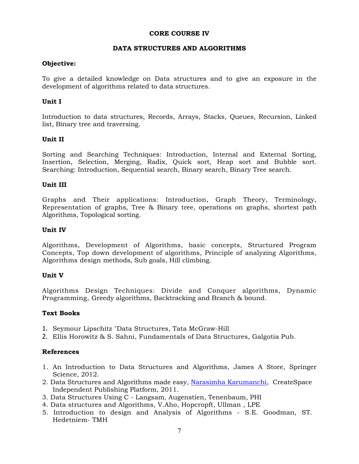### **CORE COURSE IV**

#### **DATA STRUCTURES AND ALGORITHMS**

#### **Objective:**

To give a detailed knowledge on Data structures and to give an exposure in the development of algorithms related to data structures.

### **Unit I**

Introduction to data structures, Records, Arrays, Stacks, Queues, Recursion, Linked list, Binary tree and traversing.

### **Unit II**

Sorting and Searching Techniques: Introduction, Internal and External Sorting, Insertion, Selection, Merging, Radix, Quick sort, Heap sort and Bubble sort. Searching: Introduction, Sequential search, Binary search, Binary Tree search.

#### **Unit III**

Graphs and Their applications: Introduction, Graph Theory, Terminology, Representation of graphs, Tree & Binary tree, operations on graphs, shortest path Algorithms, Topological sorting.

#### **Unit IV**

Algorithms, Development of Algorithms, basic concepts, Structured Program Concepts, Top down development of algorithms, Principle of analyzing Algorithms, Algorithms design methods, Sub goals, Hill climbing.

#### **Unit V**

Algorithms Design Techniques: Divide and Conquer algorithms, Dynamic Programming, Greedy algorithms, Backtracking and Branch & bound.

#### **Text Books**

- 1. Seymour Lipschitz "Data Structures, Tata McGraw-Hill
- 2. Ellis Horowitz & S. Sahni, Fundamentals of Data Structures, Galgotia Pub.

#### **References**

- 1. An Introduction to Data Structures and Algorithms, James A Store, Springer Science, 2012.
- 2. Data Structures and Algorithms made easy, Narasimha Karumanchi, CreateSpace Independent Publishing Platform, 2011.
- 3. Data Structures Using C Langsam, Augenstien, Tenenbaum, PHI
- 4. Data structures and Algorithms, V.Aho, Hopcropft, Ullman , LPE
- 5. Introduction to design and Analysis of Algorithms S.E. Goodman, ST. Hedetniem- TMH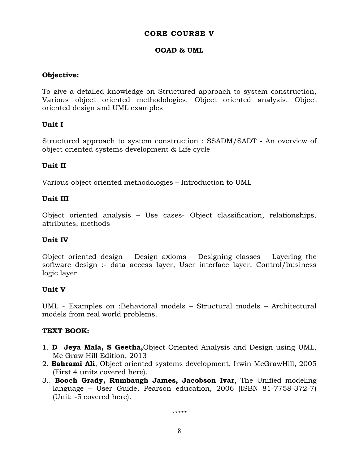# **CORE COURSE V**

# **OOAD & UML**

# **Objective:**

To give a detailed knowledge on Structured approach to system construction, Various object oriented methodologies, Object oriented analysis, Object oriented design and UML examples

# **Unit I**

Structured approach to system construction : SSADM/SADT - An overview of object oriented systems development & Life cycle

# **Unit II**

Various object oriented methodologies – Introduction to UML

# **Unit III**

Object oriented analysis – Use cases- Object classification, relationships, attributes, methods

# **Unit IV**

Object oriented design – Design axioms – Designing classes – Layering the software design :- data access layer, User interface layer, Control/business logic layer

# **Unit V**

UML - Examples on :Behavioral models – Structural models – Architectural models from real world problems.

# **TEXT BOOK:**

- 1. **D Jeya Mala, S Geetha,**Object Oriented Analysis and Design using UML, Mc Graw Hill Edition, 2013
- 2. **Bahrami Ali**, Object oriented systems development, Irwin McGrawHill, 2005 (First 4 units covered here).
- 3.. **Booch Grady, Rumbaugh James, Jacobson Ivar**, The Unified modeling language – User Guide, Pearson education, 2006 (ISBN 81-7758-372-7) (Unit: -5 covered here).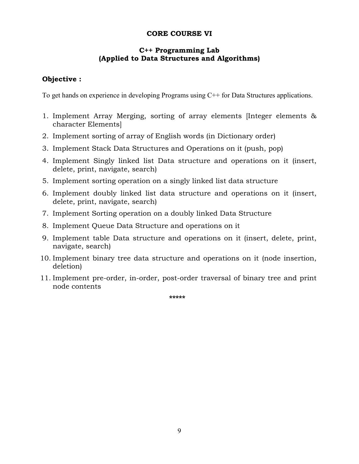# **CORE COURSE VI**

# **C++ Programming Lab (Applied to Data Structures and Algorithms)**

# **Objective :**

To get hands on experience in developing Programs using C<sup>++</sup> for Data Structures applications.

- 1. Implement Array Merging, sorting of array elements [Integer elements & character Elements]
- 2. Implement sorting of array of English words (in Dictionary order)
- 3. Implement Stack Data Structures and Operations on it (push, pop)
- 4. Implement Singly linked list Data structure and operations on it (insert, delete, print, navigate, search)
- 5. Implement sorting operation on a singly linked list data structure
- 6. Implement doubly linked list data structure and operations on it (insert, delete, print, navigate, search)
- 7. Implement Sorting operation on a doubly linked Data Structure
- 8. Implement Queue Data Structure and operations on it
- 9. Implement table Data structure and operations on it (insert, delete, print, navigate, search)
- 10. Implement binary tree data structure and operations on it (node insertion, deletion)
- 11. Implement pre-order, in-order, post-order traversal of binary tree and print node contents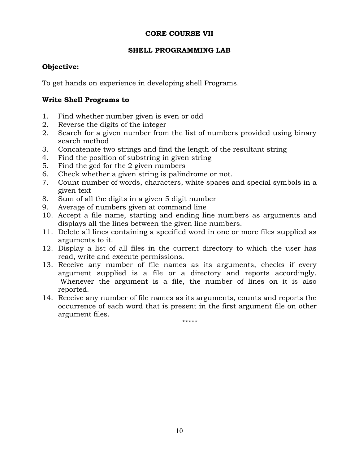# **CORE COURSE VII**

# **SHELL PROGRAMMING LAB**

# **Objective:**

To get hands on experience in developing shell Programs.

# **Write Shell Programs to**

- 1. Find whether number given is even or odd
- 2. Reverse the digits of the integer
- 2. Search for a given number from the list of numbers provided using binary search method
- 3. Concatenate two strings and find the length of the resultant string
- 4. Find the position of substring in given string
- 5. Find the gcd for the 2 given numbers
- 6. Check whether a given string is palindrome or not.
- 7. Count number of words, characters, white spaces and special symbols in a given text
- 8. Sum of all the digits in a given 5 digit number
- 9. Average of numbers given at command line
- 10. Accept a file name, starting and ending line numbers as arguments and displays all the lines between the given line numbers.
- 11. Delete all lines containing a specified word in one or more files supplied as arguments to it.
- 12. Display a list of all files in the current directory to which the user has read, write and execute permissions.
- 13. Receive any number of file names as its arguments, checks if every argument supplied is a file or a directory and reports accordingly. Whenever the argument is a file, the number of lines on it is also reported.
- 14. Receive any number of file names as its arguments, counts and reports the occurrence of each word that is present in the first argument file on other argument files.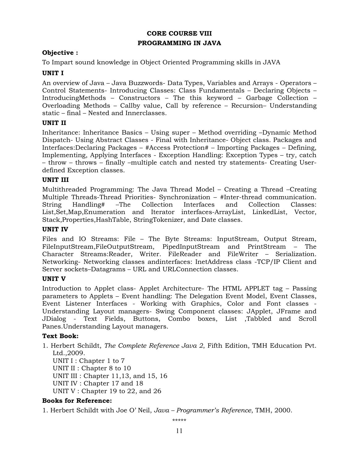# **CORE COURSE VIII PROGRAMMING IN JAVA**

# **Objective :**

To Impart sound knowledge in Object Oriented Programming skills in JAVA

# **UNIT I**

An overview of Java – Java Buzzwords- Data Types, Variables and Arrays - Operators – Control Statements- Introducing Classes: Class Fundamentals – Declaring Objects – IntroducingMethods – Constructors – The this keyword – Garbage Collection – Overloading Methods – Callby value, Call by reference – Recursion– Understanding static – final – Nested and Innerclasses.

# **UNIT II**

Inheritance: Inheritance Basics – Using super – Method overriding –Dynamic Method Dispatch- Using Abstract Classes - Final with Inheritance- Object class. Packages and Interfaces:Declaring Packages – #Access Protection# – Importing Packages – Defining, Implementing, Applying Interfaces - Exception Handling: Exception Types – try, catch – throw – throws – finally –multiple catch and nested try statements- Creating Userdefined Exception classes.

# **UNIT III**

Multithreaded Programming: The Java Thread Model – Creating a Thread –Creating Multiple Threads-Thread Priorities- Synchronization – #Inter-thread communication. String Handling# –The Collection Interfaces and Collection Classes: List,Set,Map,Enumeration and Iterator interfaces-ArrayList, LinkedList, Vector, Stack,Properties,HashTable, StringTokenizer, and Date classes.

# **UNIT IV**

Files and IO Streams: File – The Byte Streams: InputStream, Output Stream, FileInputStream,FileOutputStream, PipedInputStream and PrintStream – The Character Streams:Reader, Writer. FileReader and FileWriter – Serialization. Networking- Networking classes andinterfaces: InetAddress class -TCP/IP Client and Server sockets–Datagrams – URL and URLConnection classes.

# **UNIT V**

Introduction to Applet class- Applet Architecture- The HTML APPLET tag – Passing parameters to Applets – Event handling: The Delegation Event Model, Event Classes, Event Listener Interfaces - Working with Graphics, Color and Font classes - Understanding Layout managers- Swing Component classes: JApplet, JFrame and JDialog - Text Fields, Buttons, Combo boxes, List ,Tabbled and Scroll Panes.Understanding Layout managers.

# **Text Book:**

1. Herbert Schildt, *The Complete Reference Java 2*, Fifth Edition, TMH Education Pvt. Ltd.,2009. UNIT I : Chapter 1 to 7 UNIT II : Chapter 8 to 10 UNIT III : Chapter 11,13, and 15, 16 UNIT IV : Chapter 17 and 18 UNIT V : Chapter 19 to 22, and 26

# **Books for Reference:**

1. Herbert Schildt with Joe O' Neil, *Java – Programmer's Reference*, TMH, 2000.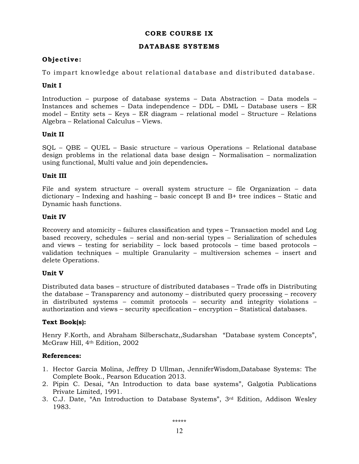# **CORE COURSE IX**

#### **DATABASE SYSTEMS**

# **Ob jective :**

To impart knowledge about relational database and distributed database.

# **Unit I**

Introduction – purpose of database systems – Data Abstraction – Data models – Instances and schemes – Data independence – DDL – DML – Database users – ER model – Entity sets – Keys – ER diagram – relational model – Structure – Relations Algebra – Relational Calculus – Views.

### **Unit II**

SQL – QBE – QUEL – Basic structure – various Operations – Relational database design problems in the relational data base design – Normalisation – normalization using functional, Multi value and join dependencies**.** 

### **Unit III**

File and system structure – overall system structure – file Organization – data dictionary – Indexing and hashing – basic concept B and B+ tree indices – Static and Dynamic hash functions.

### **Unit IV**

Recovery and atomicity – failures classification and types – Transaction model and Log based recovery, schedules – serial and non-serial types – Serialization of schedules and views – testing for seriability – lock based protocols – time based protocols – validation techniques – multiple Granularity – multiversion schemes – insert and delete Operations.

#### **Unit V**

Distributed data bases – structure of distributed databases – Trade offs in Distributing the database – Transparency and autonomy – distributed query processing – recovery in distributed systems – commit protocols – security and integrity violations – authorization and views – security specification – encryption – Statistical databases.

# **Text Book(s):**

Henry F.Korth, and Abraham Silberschatz,,Sudarshan "Database system Concepts", McGraw Hill, 4th Edition, 2002

#### **References:**

- 1. Hector Garcia Molina, Jeffrey D Ullman, JenniferWisdom,Database Systems: The Complete Book., Pearson Education 2013.
- 2. Pipin C. Desai, "An Introduction to data base systems", Galgotia Publications Private Limited, 1991.
- 3. C.J. Date, "An Introduction to Database Systems", 3rd Edition, Addison Wesley 1983.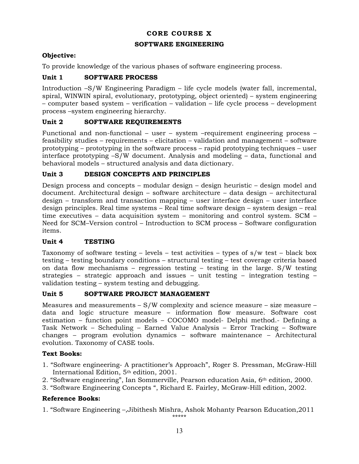# **CORE COURSE X**

### **SOFTWARE ENGINEERING**

# **Objective:**

To provide knowledge of the various phases of software engineering process.

# **Unit 1 SOFTWARE PROCESS**

Introduction –S/W Engineering Paradigm – life cycle models (water fall, incremental, spiral, WINWIN spiral, evolutionary, prototyping, object oriented) – system engineering – computer based system – verification – validation – life cycle process – development process –system engineering hierarchy.

# **Unit 2 SOFTWARE REQUIREMENTS**

Functional and non-functional – user – system –requirement engineering process – feasibility studies – requirements – elicitation – validation and management – software prototyping – prototyping in the software process – rapid prototyping techniques – user interface prototyping –S/W document. Analysis and modeling – data, functional and behavioral models – structured analysis and data dictionary.

# **Unit 3 DESIGN CONCEPTS AND PRINCIPLES**

Design process and concepts – modular design – design heuristic – design model and document. Architectural design – software architecture – data design – architectural design – transform and transaction mapping – user interface design – user interface design principles. Real time systems – Real time software design – system design – real time executives – data acquisition system – monitoring and control system. SCM – Need for SCM–Version control – Introduction to SCM process – Software configuration items.

# **Unit 4 TESTING**

Taxonomy of software testing  $-$  levels  $-$  test activities  $-$  types of s/w test  $-$  black box testing – testing boundary conditions – structural testing – test coverage criteria based on data flow mechanisms – regression testing – testing in the large. S/W testing strategies – strategic approach and issues – unit testing – integration testing – validation testing – system testing and debugging.

# **Unit 5 SOFTWARE PROJECT MANAGEMENT**

Measures and measurements  $- S/W$  complexity and science measure – size measure – data and logic structure measure – information flow measure. Software cost estimation – function point models – COCOMO model- Delphi method.- Defining a Task Network – Scheduling – Earned Value Analysis – Error Tracking – Software changes – program evolution dynamics – software maintenance – Architectural evolution. Taxonomy of CASE tools.

# **Text Books:**

- 1. "Software engineering- A practitioner's Approach", Roger S. Pressman, McGraw-Hill International Edition, 5th edition, 2001.
- 2. "Software engineering", Ian Sommerville, Pearson education Asia, 6th edition, 2000.
- 3. "Software Engineering Concepts ", Richard E. Fairley, McGraw-Hill edition, 2002.

# **Reference Books:**

1. "Software Engineering –,Jibithesh Mishra, Ashok Mohanty Pearson Education,2011 \*\*\*\*\*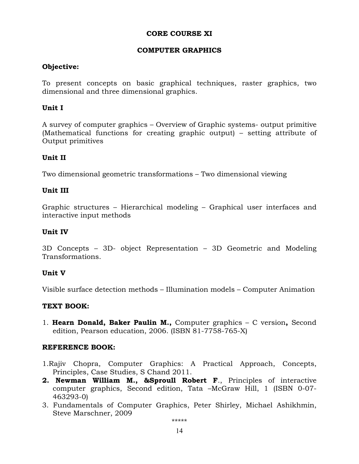# **CORE COURSE XI**

# **COMPUTER GRAPHICS**

# **Objective:**

To present concepts on basic graphical techniques, raster graphics, two dimensional and three dimensional graphics.

# **Unit I**

A survey of computer graphics – Overview of Graphic systems- output primitive (Mathematical functions for creating graphic output) – setting attribute of Output primitives

# **Unit II**

Two dimensional geometric transformations – Two dimensional viewing

# **Unit III**

Graphic structures – Hierarchical modeling – Graphical user interfaces and interactive input methods

# **Unit IV**

3D Concepts – 3D- object Representation – 3D Geometric and Modeling Transformations.

# **Unit V**

Visible surface detection methods – Illumination models – Computer Animation

# **TEXT BOOK:**

1. **Hearn Donald, Baker Paulin M.,** Computer graphics – C version**,** Second edition, Pearson education, 2006. (ISBN 81-7758-765-X)

# **REFERENCE BOOK:**

- 1.Rajiv Chopra, Computer Graphics: A Practical Approach, Concepts, Principles, Case Studies, S Chand 2011.
- **2. Newman William M., &Sproull Robert F**., Principles of interactive computer graphics, Second edition, Tata –McGraw Hill, 1 (ISBN 0-07- 463293-0)
- 3. Fundamentals of Computer Graphics, Peter Shirley, Michael Ashikhmin, Steve Marschner, 2009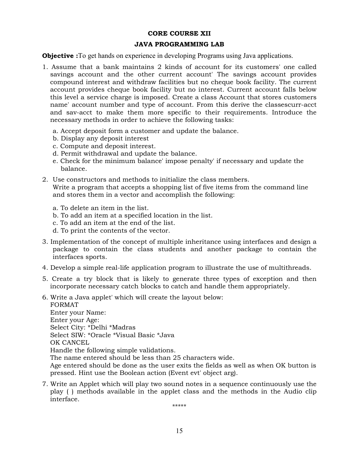#### **CORE COURSE XII**

#### **JAVA PROGRAMMING LAB**

**Objective :** To get hands on experience in developing Programs using Java applications.

- 1. Assume that a bank maintains 2 kinds of account for its customers' one called savings account and the other current account' The savings account provides compound interest and withdraw facilities but no cheque book facility. The current account provides cheque book facility but no interest. Current account falls below this level a service charge is imposed. Create a class Account that stores customers name' account number and type of account. From this derive the classescurr-acct and sav-acct to make them more specific to their requirements. Introduce the necessary methods in order to achieve the following tasks:
	- a. Accept deposit form a customer and update the balance.
	- b. Display any deposit interest
	- c. Compute and deposit interest.
	- d. Permit withdrawal and update the balance.
	- e. Check for the minimum balance' impose penalty' if necessary and update the balance.
- 2. Use constructors and methods to initialize the class members. Write a program that accepts a shopping list of five items from the command line and stores them in a vector and accomplish the following:
	- a. To delete an item in the list.
	- b. To add an item at a specified location in the list.
	- c. To add an item at the end of the list.
	- d. To print the contents of the vector.
- 3. Implementation of the concept of multiple inheritance using interfaces and design a package to contain the class students and another package to contain the interfaces sports.
- 4. Develop a simple real-life application program to illustrate the use of multithreads.
- 5. Create a try block that is likely to generate three types of exception and then incorporate necessary catch blocks to catch and handle them appropriately.
- 6. Write a Java applet' which will create the layout below: FORMAT Enter your Name: Enter your Age: Select City: \*Delhi \*Madras Select SIW: \*Oracle \*Visual Basic \*Java OK CANCEL

Handle the following simple validations.

The name entered should be less than 25 characters wide.

Age entered should be done as the user exits the fields as well as when OK button is pressed. Hint use the Boolean action (Event evt' object arg).

7. Write an Applet which will play two sound notes in a sequence continuously use the play ( ) methods available in the applet class and the methods in the Audio clip interface.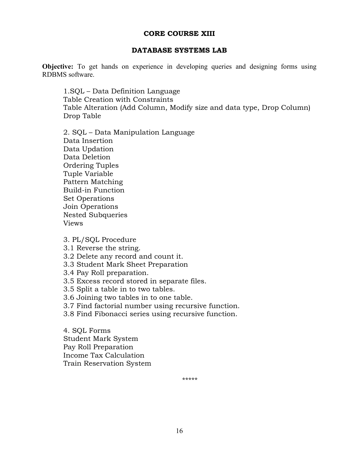# **CORE COURSE XIII**

### **DATABASE SYSTEMS LAB**

**Objective:** To get hands on experience in developing queries and designing forms using RDBMS software.

1.SQL – Data Definition Language Table Creation with Constraints Table Alteration (Add Column, Modify size and data type, Drop Column) Drop Table

2. SQL – Data Manipulation Language Data Insertion Data Updation Data Deletion Ordering Tuples Tuple Variable Pattern Matching Build-in Function Set Operations Join Operations Nested Subqueries Views

3. PL/SQL Procedure

- 3.1 Reverse the string.
- 3.2 Delete any record and count it.
- 3.3 Student Mark Sheet Preparation
- 3.4 Pay Roll preparation.
- 3.5 Excess record stored in separate files.
- 3.5 Split a table in to two tables.
- 3.6 Joining two tables in to one table.
- 3.7 Find factorial number using recursive function.
- 3.8 Find Fibonacci series using recursive function.

4. SQL Forms Student Mark System Pay Roll Preparation Income Tax Calculation Train Reservation System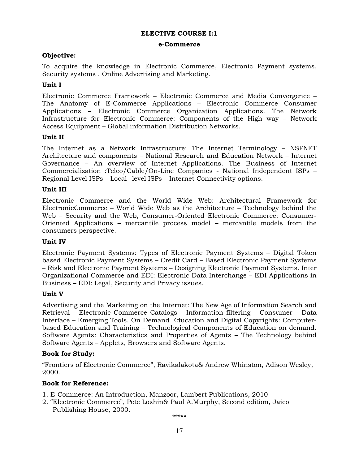#### **e-Commerce**

### **Objective:**

To acquire the knowledge in Electronic Commerce, Electronic Payment systems, Security systems , Online Advertising and Marketing.

### **Unit I**

Electronic Commerce Framework – Electronic Commerce and Media Convergence – The Anatomy of E-Commerce Applications – Electronic Commerce Consumer Applications – Electronic Commerce Organization Applications. The Network Infrastructure for Electronic Commerce: Components of the High way – Network Access Equipment – Global information Distribution Networks.

### **Unit II**

The Internet as a Network Infrastructure: The Internet Terminology – NSFNET Architecture and components – National Research and Education Network – Internet Governance – An overview of Internet Applications. The Business of Internet Commercialization :Telco/Cable/On-Line Companies - National Independent ISPs – Regional Level ISPs – Local –level ISPs – Internet Connectivity options.

### **Unit III**

Electronic Commerce and the World Wide Web: Architectural Framework for ElectronicCommerce – World Wide Web as the Architecture – Technology behind the Web – Security and the Web, Consumer-Oriented Electronic Commerce: Consumer-Oriented Applications – mercantile process model – mercantile models from the consumers perspective.

#### **Unit IV**

Electronic Payment Systems: Types of Electronic Payment Systems – Digital Token based Electronic Payment Systems – Credit Card – Based Electronic Payment Systems – Risk and Electronic Payment Systems – Designing Electronic Payment Systems. Inter Organizational Commerce and EDI: Electronic Data Interchange – EDI Applications in Business – EDI: Legal, Security and Privacy issues.

### **Unit V**

Advertising and the Marketing on the Internet: The New Age of Information Search and Retrieval – Electronic Commerce Catalogs – Information filtering – Consumer – Data Interface – Emerging Tools. On Demand Education and Digital Copyrights: Computerbased Education and Training – Technological Components of Education on demand. Software Agents: Characteristics and Properties of Agents – The Technology behind Software Agents – Applets, Browsers and Software Agents.

#### **Book for Study:**

"Frontiers of Electronic Commerce", Ravikalakota& Andrew Whinston, Adison Wesley, 2000.

# **Book for Reference:**

- 1. E-Commerce: An Introduction, Manzoor, Lambert Publications, 2010
- 2. "Electronic Commerce", Pete Loshin& Paul A.Murphy, Second edition, Jaico Publishing House, 2000.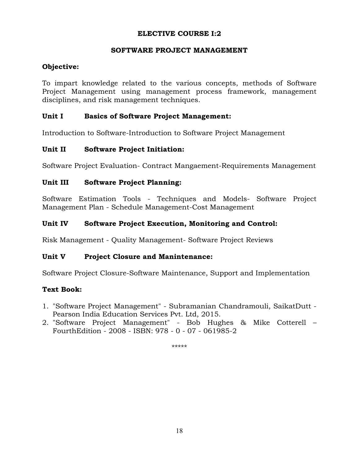# **SOFTWARE PROJECT MANAGEMENT**

# **Objective:**

To impart knowledge related to the various concepts, methods of Software Project Management using management process framework, management disciplines, and risk management techniques.

# **Unit I Basics of Software Project Management:**

Introduction to Software-Introduction to Software Project Management

# **Unit II Software Project Initiation:**

Software Project Evaluation- Contract Mangaement-Requirements Management

# **Unit III Software Project Planning:**

Software Estimation Tools - Techniques and Models- Software Project Management Plan - Schedule Management-Cost Management

# **Unit IV Software Project Execution, Monitoring and Control:**

Risk Management - Quality Management- Software Project Reviews

# **Unit V Project Closure and Manintenance:**

Software Project Closure-Software Maintenance, Support and Implementation

# **Text Book:**

- 1. "Software Project Management" Subramanian Chandramouli, SaikatDutt Pearson India Education Services Pvt. Ltd, 2015.
- 2. "Software Project Management" Bob Hughes & Mike Cotterell FourthEdition - 2008 - ISBN: 978 - 0 - 07 - 061985-2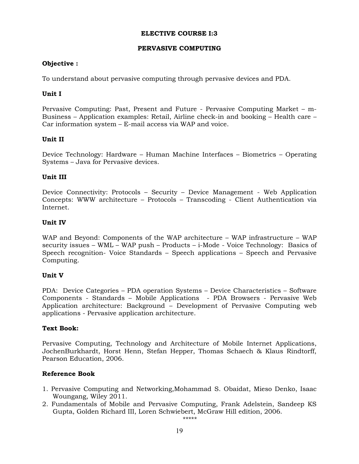### **PERVASIVE COMPUTING**

### **Objective :**

To understand about pervasive computing through pervasive devices and PDA.

### **Unit I**

Pervasive Computing: Past, Present and Future - Pervasive Computing Market – m-Business – Application examples: Retail, Airline check-in and booking – Health care – Car information system – E-mail access via WAP and voice.

### **Unit II**

Device Technology: Hardware – Human Machine Interfaces – Biometrics – Operating Systems – Java for Pervasive devices.

### **Unit III**

Device Connectivity: Protocols – Security – Device Management - Web Application Concepts: WWW architecture – Protocols – Transcoding - Client Authentication via Internet.

### **Unit IV**

WAP and Beyond: Components of the WAP architecture – WAP infrastructure – WAP security issues – WML – WAP push – Products – i-Mode - Voice Technology: Basics of Speech recognition- Voice Standards – Speech applications – Speech and Pervasive Computing.

# **Unit V**

PDA: Device Categories – PDA operation Systems – Device Characteristics – Software Components - Standards – Mobile Applications - PDA Browsers - Pervasive Web Application architecture: Background – Development of Pervasive Computing web applications - Pervasive application architecture.

#### **Text Book:**

Pervasive Computing, Technology and Architecture of Mobile Internet Applications, JochenBurkhardt, Horst Henn, Stefan Hepper, Thomas Schaech & Klaus Rindtorff, Pearson Education, 2006.

# **Reference Book**

- 1. Pervasive Computing and Networking,Mohammad S. Obaidat, Mieso Denko, Isaac Woungang, Wiley 2011.
- 2. Fundamentals of Mobile and Pervasive Computing, Frank Adelstein, Sandeep KS Gupta, Golden Richard III, Loren Schwiebert, McGraw Hill edition, 2006.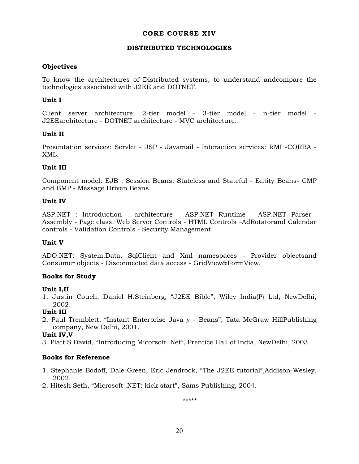### **CORE COURSE XIV**

#### **DISTRIBUTED TECHNOLOGIES**

### **Objectives**

To know the architectures of Distributed systems, to understand andcompare the technologies associated with J2EE and DOTNET.

### **Unit I**

Client server architecture: 2-tier model - 3-tier model - n-tier model - J2EEarchitecture - DOTNET architecture - MVC architecture.

### **Unit II**

Presentation services: Servlet - JSP - Javamail - Interaction services: RMI -CORBA - XML.

# **Unit III**

Component model: EJB : Session Beans: Stateless and Stateful - Entity Beans- CMP and BMP - Message Driven Beans.

### **Unit IV**

ASP.NET : Introduction - architecture - ASP.NET Runtime - ASP.NET Parser-- Assembly - Page class. Web Server Controls - HTML Controls –AdRotatorand Calendar controls - Validation Controls - Security Management.

#### **Unit V**

ADO.NET: System.Data, SqlClient and Xml namespaces - Provider objectsand Consumer objects - Disconnected data access - GridView&FormView.

#### **Books for Study**

#### **Unit I,II**

1. Justin Couch, Daniel H.Steinberg, "J2EE Bible", Wiley India(P) Ltd, NewDelhi, 2002.

# **Unit III**

2. Paul Tremblett, "Instant Enterprise Java y - Beans", Tata McGraw HillPublishing company, New Delhi, 2001.

#### **Unit IV,V**

3. Platt S David, "Introducing Micorsoft .Net", Prentice Hall of India, NewDelhi, 2003.

# **Books for Reference**

- 1. Stephanie Bodoff, Dale Green, Eric Jendrock, "The J2EE tutorial",Addison-Wesley, 2002.
- 2. Hitesh Seth, "Microsoft .NET: kick start", Sams Publishing, 2004.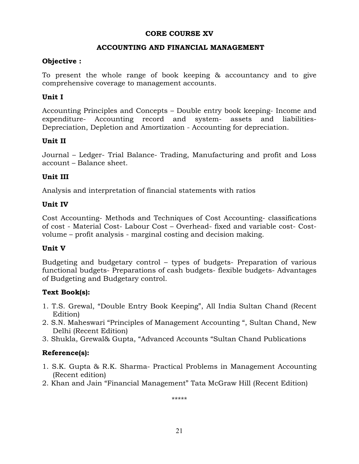# **CORE COURSE XV**

# **ACCOUNTING AND FINANCIAL MANAGEMENT**

# **Objective :**

To present the whole range of book keeping & accountancy and to give comprehensive coverage to management accounts.

# **Unit I**

Accounting Principles and Concepts – Double entry book keeping- Income and expenditure- Accounting record and system- assets and liabilities-Depreciation, Depletion and Amortization - Accounting for depreciation.

# **Unit II**

Journal – Ledger- Trial Balance- Trading, Manufacturing and profit and Loss account – Balance sheet.

# **Unit III**

Analysis and interpretation of financial statements with ratios

# **Unit IV**

Cost Accounting- Methods and Techniques of Cost Accounting- classifications of cost - Material Cost- Labour Cost – Overhead- fixed and variable cost- Costvolume – profit analysis - marginal costing and decision making.

# **Unit V**

Budgeting and budgetary control – types of budgets- Preparation of various functional budgets- Preparations of cash budgets- flexible budgets- Advantages of Budgeting and Budgetary control.

# **Text Book(s):**

- 1. T.S. Grewal, "Double Entry Book Keeping", All India Sultan Chand (Recent Edition)
- 2. S.N. Maheswari "Principles of Management Accounting ", Sultan Chand, New Delhi (Recent Edition)
- 3. Shukla, Grewal& Gupta, "Advanced Accounts "Sultan Chand Publications

# **Reference(s):**

- 1. S.K. Gupta & R.K. Sharma- Practical Problems in Management Accounting (Recent edition)
- 2. Khan and Jain "Financial Management" Tata McGraw Hill (Recent Edition)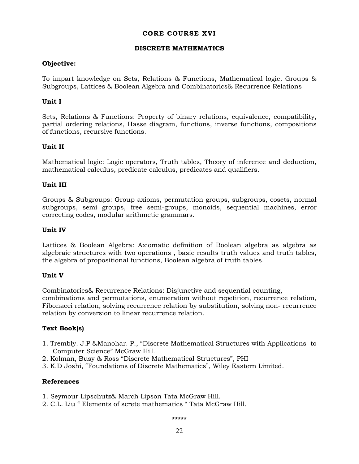### **CORE COURSE XVI**

#### **DISCRETE MATHEMATICS**

### **Objective:**

To impart knowledge on Sets, Relations & Functions, Mathematical logic, Groups & Subgroups, Lattices & Boolean Algebra and Combinatorics& Recurrence Relations

# **Unit I**

Sets, Relations & Functions: Property of binary relations, equivalence, compatibility, partial ordering relations, Hasse diagram, functions, inverse functions, compositions of functions, recursive functions.

### **Unit II**

Mathematical logic: Logic operators, Truth tables, Theory of inference and deduction, mathematical calculus, predicate calculus, predicates and qualifiers.

#### **Unit III**

Groups & Subgroups: Group axioms, permutation groups, subgroups, cosets, normal subgroups, semi groups, free semi-groups, monoids, sequential machines, error correcting codes, modular arithmetic grammars.

#### **Unit IV**

Lattices & Boolean Algebra: Axiomatic definition of Boolean algebra as algebra as algebraic structures with two operations , basic results truth values and truth tables, the algebra of propositional functions, Boolean algebra of truth tables.

#### **Unit V**

Combinatorics& Recurrence Relations: Disjunctive and sequential counting, combinations and permutations, enumeration without repetition, recurrence relation, Fibonacci relation, solving recurrence relation by substitution, solving non- recurrence relation by conversion to linear recurrence relation.

# **Text Book(s)**

- 1. Trembly. J.P &Manohar. P., "Discrete Mathematical Structures with Applications to Computer Science" McGraw Hill.
- 2. Kolman, Busy & Ross "Discrete Mathematical Structures", PHI
- 3. K.D Joshi, "Foundations of Discrete Mathematics", Wiley Eastern Limited.

# **References**

- 1. Seymour Lipschutz& March Lipson Tata McGraw Hill.
- 2. C.L. Liu " Elements of screte mathematics " Tata McGraw Hill.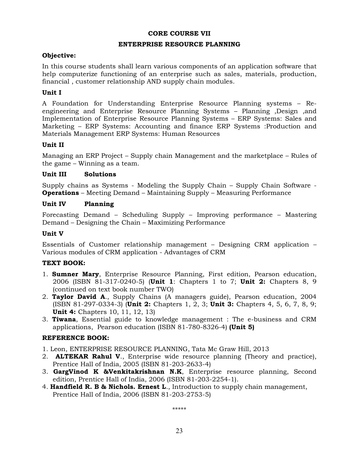### **CORE COURSE VII**

#### **ENTERPRISE RESOURCE PLANNING**

### **Objective:**

In this course students shall learn various components of an application software that help computerize functioning of an enterprise such as sales, materials, production, financial , customer relationship AND supply chain modules.

### **Unit I**

A Foundation for Understanding Enterprise Resource Planning systems – Reengineering and Enterprise Resource Planning Systems – Planning ,Design ,and Implementation of Enterprise Resource Planning Systems – ERP Systems: Sales and Marketing – ERP Systems: Accounting and finance ERP Systems :Production and Materials Management ERP Systems: Human Resources

### **Unit II**

Managing an ERP Project – Supply chain Management and the marketplace – Rules of the game – Winning as a team.

### **Unit III Solutions**

Supply chains as Systems - Modeling the Supply Chain – Supply Chain Software - **Operations** – Meeting Demand – Maintaining Supply – Measuring Performance

### **Unit IV Planning**

Forecasting Demand – Scheduling Supply – Improving performance – Mastering Demand – Designing the Chain – Maximizing Performance

### **Unit V**

Essentials of Customer relationship management – Designing CRM application – Various modules of CRM application - Advantages of CRM

# **TEXT BOOK:**

- 1. **Sumner Mary**, Enterprise Resource Planning, First edition, Pearson education, 2006 (ISBN 81-317-0240-5) (**Unit 1**: Chapters 1 to 7; **Unit 2:** Chapters 8, 9 (continued on text book number TWO)
- 2. **Taylor David A**., Supply Chains (A managers guide), Pearson education, 2004 (ISBN 81-297-0334-3) (**Unit 2:** Chapters 1, 2, 3; **Unit 3:** Chapters 4, 5, 6, 7, 8, 9; **Unit 4:** Chapters 10, 11, 12, 13)
- 3. **Tiwana**, Essential guide to knowledge management : The e-business and CRM applications, Pearson education (ISBN 81-780-8326-4) **(Unit 5)**

# **REFERENCE BOOK:**

- 1. Leon, ENTERPRISE RESOURCE PLANNING, Tata Mc Graw Hill, 2013
- 2. **ALTEKAR Rahul V**., Enterprise wide resource planning (Theory and practice), Prentice Hall of India, 2005 (ISBN 81-203-2633-4)
- 3. **GargVinod K &Venkitakrishnan N.K**, Enterprise resource planning, Second edition, Prentice Hall of India, 2006 (ISBN 81-203-2254-1).
- 4. **Handfield R. B & Nichols. Ernest L**., Introduction to supply chain management, Prentice Hall of India, 2006 (ISBN 81-203-2753-5)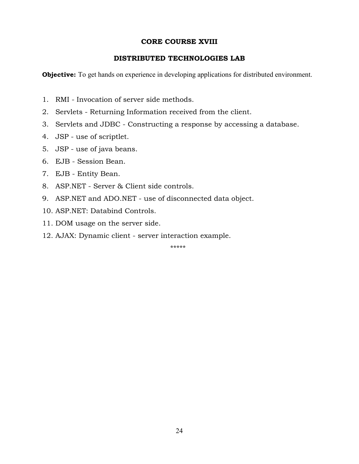# **CORE COURSE XVIII**

# **DISTRIBUTED TECHNOLOGIES LAB**

**Objective:** To get hands on experience in developing applications for distributed environment.

- 1. RMI Invocation of server side methods.
- 2. Servlets Returning Information received from the client.
- 3. Servlets and JDBC Constructing a response by accessing a database.
- 4. JSP use of scriptlet.
- 5. JSP use of java beans.
- 6. EJB Session Bean.
- 7. EJB Entity Bean.
- 8. ASP.NET Server & Client side controls.
- 9. ASP.NET and ADO.NET use of disconnected data object.
- 10. ASP.NET: Databind Controls.
- 11. DOM usage on the server side.
- 12. AJAX: Dynamic client server interaction example.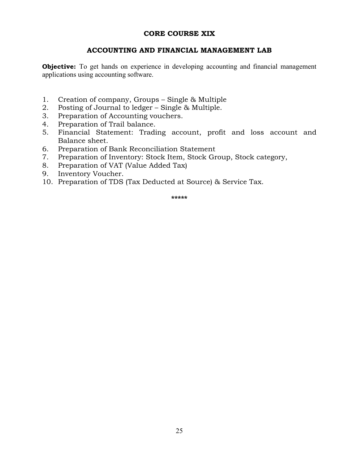# **CORE COURSE XIX**

# **ACCOUNTING AND FINANCIAL MANAGEMENT LAB**

**Objective:** To get hands on experience in developing accounting and financial management applications using accounting software.

- 1. Creation of company, Groups Single & Multiple
- 2. Posting of Journal to ledger Single & Multiple.
- 3. Preparation of Accounting vouchers.
- 4. Preparation of Trail balance.
- 5. Financial Statement: Trading account, profit and loss account and Balance sheet.
- 6. Preparation of Bank Reconciliation Statement
- 7. Preparation of Inventory: Stock Item, Stock Group, Stock category,
- 8. Preparation of VAT (Value Added Tax)
- 9. Inventory Voucher.
- 10. Preparation of TDS (Tax Deducted at Source) & Service Tax.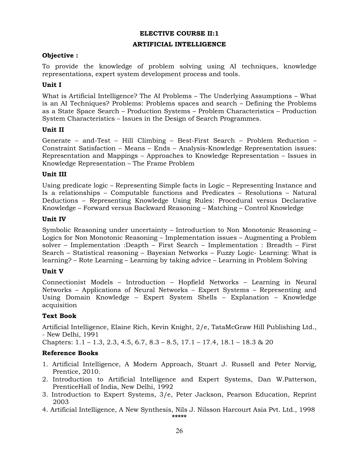#### **ARTIFICIAL INTELLIGENCE**

### **Objective :**

To provide the knowledge of problem solving using AI techniques, knowledge representations, expert system development process and tools.

### **Unit I**

What is Artificial Intelligence? The AI Problems – The Underlying Assumptions – What is an AI Techniques? Problems: Problems spaces and search – Defining the Problems as a State Space Search – Production Systems – Problem Characteristics – Production System Characteristics – Issues in the Design of Search Programmes.

### **Unit II**

Generate – and-Test – Hill Climbing – Best-First Search – Problem Reduction – Constraint Satisfaction – Means – Ends – Analysis-Knowledge Representation issues: Representation and Mappings – Approaches to Knowledge Representation – Issues in Knowledge Representation – The Frame Problem

### **Unit III**

Using predicate logic – Representing Simple facts in Logic – Representing Instance and Is a relationships – Computable functions and Predicates – Resolutions – Natural Deductions – Representing Knowledge Using Rules: Procedural versus Declarative Knowledge – Forward versus Backward Reasoning – Matching – Control Knowledge

### **Unit IV**

Symbolic Reasoning under uncertainty – Introduction to Non Monotonic Reasoning – Logics for Non Monotonic Reasoning – Implementation issues – Augmenting a Problem solver – Implementation :Deapth – First Search – Implementation : Breadth – First Search – Statistical reasoning – Bayesian Networks – Fuzzy Logic- Learning: What is learning? – Rote Learning – Learning by taking advice – Learning in Problem Solving

#### **Unit V**

Connectionist Models – Introduction – Hopfield Networks – Learning in Neural Networks – Applications of Neural Networks – Expert Systems – Representing and Using Domain Knowledge – Expert System Shells – Explanation – Knowledge acquisition

# **Text Book**

Artificial Intelligence, Elaine Rich, Kevin Knight, 2/e, TataMcGraw Hill Publishing Ltd., - New Delhi, 1991

Chapters: 1.1 – 1.3, 2.3, 4.5, 6.7, 8.3 – 8.5, 17.1 – 17.4, 18.1 – 18.3 & 20

# **Reference Books**

- 1. Artificial Intelligence, A Modern Approach, Stuart J. Russell and Peter Norvig, Prentice, 2010.
- 2. Introduction to Artificial Intelligence and Expert Systems, Dan W.Patterson, PrenticeHall of India, New Delhi, 1992
- 3. Introduction to Expert Systems, 3/e, Peter Jackson, Pearson Education, Reprint 2003
- 4. Artificial Intelligence, A New Synthesis, Nils J. Nilsson Harcourt Asia Pvt. Ltd., 1998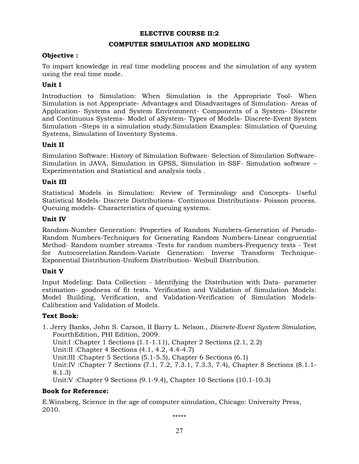#### **COMPUTER SIMULATION AND MODELING**

### **Objective :**

To impart knowledge in real time modeling process and the simulation of any system using the real time mode.

### **Unit I**

Introduction to Simulation: When Simulation is the Appropriate Tool- When Simulation is not Appropriate- Advantages and Disadvantages of Simulation- Areas of Application- Systems and System Environment- Components of a System- Discrete and Continuous Systems- Model of aSystem- Types of Models- Discrete-Event System Simulation –Steps in a simulation study.Simulation Examples: Simulation of Queuing Systems, Simulation of Inventory Systems.

### **Unit II**

Simulation Software: History of Simulation Software- Selection of Simulation Software-Simulation in JAVA, Simulation in GPSS, Simulation in SSF- Simulation software – Experimentation and Statistical and analysis tools .

### **Unit III**

Statistical Models in Simulation: Review of Terminology and Concepts- Useful Statistical Models- Discrete Distributions- Continuous Distributions- Poisson process. Queuing models- Characteristics of queuing systems.

### **Unit IV**

Random-Number Generation: Properties of Random Numbers-Generation of Pseudo-Random Numbers-Techniques for Generating Random Numbers-Linear congruential Method- Random number streams -Tests for random numbers-Frequency tests - Test for Autocorrelation.Random-Variate Generation: Inverse Transform Technique-Exponential Distribution-Uniform Distribution- Weibull Distribution.

#### **Unit V**

Input Modeling: Data Collection - Identifying the Distribution with Data- parameter estimation- goodness of fit tests. Verification and Validation of Simulation Models: Model Building, Verification, and Validation-Verification of Simulation Models-Calibration and Validation of Models.

# **Text Book:**

1. Jerry Banks, John S. Carson, II Barry L. Nelson., *Discrete-Event System Simulation*, FourthEdition, PHI Edition, 2009. Unit:I :Chapter 1 Sections (1.1-1.11), Chapter 2 Sections (2.1, 2.2) Unit:II :Chapter 4 Sections (4.1, 4.2, 4.4-4.7) Unit:III :Chapter 5 Sections (5.1-5.5), Chapter 6 Sections (6.1) Unit:IV :Chapter 7 Sections (7.1, 7.2, 7.3.1, 7.3.3, 7.4), Chapter 8 Sections (8.1.1- 8.1.3) Unit:V :Chapter 9 Sections (9.1-9.4), Chapter 10 Sections (10.1-10.3)

# **Book for Reference:**

E.Winsberg, Science in the age of computer simulation, Chicago: University Press, 2010.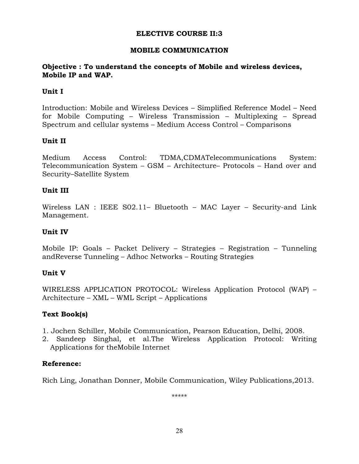# **MOBILE COMMUNICATION**

# **Objective : To understand the concepts of Mobile and wireless devices, Mobile IP and WAP.**

# **Unit I**

Introduction: Mobile and Wireless Devices – Simplified Reference Model – Need for Mobile Computing – Wireless Transmission – Multiplexing – Spread Spectrum and cellular systems – Medium Access Control – Comparisons

# **Unit II**

Medium Access Control: TDMA,CDMATelecommunications System: Telecommunication System – GSM – Architecture– Protocols – Hand over and Security–Satellite System

# **Unit III**

Wireless LAN : IEEE S02.11– Bluetooth – MAC Layer – Security-and Link Management.

# **Unit IV**

Mobile IP: Goals – Packet Delivery – Strategies – Registration – Tunneling andReverse Tunneling – Adhoc Networks – Routing Strategies

# **Unit V**

WIRELESS APPLICATION PROTOCOL: Wireless Application Protocol (WAP) – Architecture – XML – WML Script – Applications

# **Text Book(s)**

- 1. Jochen Schiller, Mobile Communication, Pearson Education, Delhi, 2008.
- 2. Sandeep Singhal, et al.The Wireless Application Protocol: Writing Applications for theMobile Internet

# **Reference:**

Rich Ling, Jonathan Donner, Mobile Communication, Wiley Publications,2013.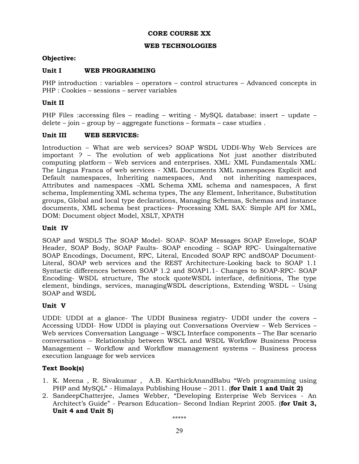### **CORE COURSE XX**

#### **WEB TECHNOLOGIES**

### **Objective:**

#### Unit I WEB PROGRAMMING

PHP introduction : variables – operators – control structures – Advanced concepts in PHP : Cookies – sessions – server variables

### **Unit II**

PHP Files :accessing files – reading – writing - MySQL database: insert – update – delete – join – group by – aggregate functions – formats – case studies.

#### **Unit III WEB SERVICES:**

Introduction – What are web services? SOAP WSDL UDDI-Why Web Services are important ? – The evolution of web applications Not just another distributed computing platform – Web services and enterprises. XML: XML Fundamentals XML: The Lingua Franca of web services - XML Documents XML namespaces Explicit and Default namespaces, Inheriting namespaces, And not inheriting namespaces, Attributes and namespaces –XML Schema XML schema and namespaces, A first schema, Implementing XML schema types, The any Element, Inheritance, Substitution groups, Global and local type declarations, Managing Schemas, Schemas and instance documents, XML schema best practices- Processing XML SAX: Simple API for XML, DOM: Document object Model, XSLT, XPATH

### **Unit IV**

SOAP and WSDL5 The SOAP Model- SOAP- SOAP Messages SOAP Envelope, SOAP Header, SOAP Body, SOAP Faults- SOAP encoding – SOAP RPC- Usingalternative SOAP Encodings, Document, RPC, Literal, Encoded SOAP RPC andSOAP Document-Literal, SOAP web services and the REST Architecture-Looking back to SOAP 1.1 Syntactic differences between SOAP 1.2 and SOAP1.1- Changes to SOAP-RPC- SOAP Encoding- WSDL structure, The stock quoteWSDL interface, definitions, The type element, bindings, services, managingWSDL descriptions, Extending WSDL – Using SOAP and WSDL

# **Unit V**

UDDI: UDDI at a glance- The UDDI Business registry- UDDI under the covers – Accessing UDDI- How UDDI is playing out Conversations Overview – Web Services – Web services Conversation Language – WSCL Interface components – The Bar scenario conversations – Relationship between WSCL and WSDL Workflow Business Process Management – Workflow and Workflow management systems – Business process execution language for web services

#### **Text Book(s)**

- 1. K. Meena , R. Sivakumar , A.B. KarthickAnandBabu "Web programming using PHP and MySQL" - Himalaya Publishing House – 2011. (**for Unit 1 and Unit 2)**
- 2. SandeepChatterjee, James Webber, "Developing Enterprise Web Services An Architect's Guide" - Pearson Education– Second Indian Reprint 2005. (**for Unit 3, Unit 4 and Unit 5)** \*\*\*\*\*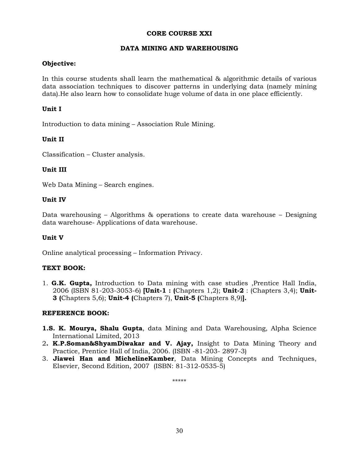#### **CORE COURSE XXI**

### **DATA MINING AND WAREHOUSING**

### **Objective:**

In this course students shall learn the mathematical & algorithmic details of various data association techniques to discover patterns in underlying data (namely mining data).He also learn how to consolidate huge volume of data in one place efficiently.

### **Unit I**

Introduction to data mining – Association Rule Mining.

### **Unit II**

Classification – Cluster analysis.

### **Unit III**

Web Data Mining – Search engines.

### **Unit IV**

Data warehousing – Algorithms & operations to create data warehouse – Designing data warehouse- Applications of data warehouse.

#### **Unit V**

Online analytical processing – Information Privacy.

# **TEXT BOOK:**

1. **G.K. Gupta,** Introduction to Data mining with case studies ,Prentice Hall India, 2006 (ISBN 81-203-3053-6) **[Unit-1 : (**Chapters 1,2); **Unit-2** : (Chapters 3,4); **Unit-3 (**Chapters 5,6); **Unit-4 (**Chapters 7), **Unit-5 (**Chapters 8,9)**].**

#### **REFERENCE BOOK:**

- **1.S. K. Mourya, Shalu Gupta**, data Mining and Data Warehousing, Alpha Science International Limited, 2013
- 2**. K.P.Soman&ShyamDiwakar and V. Ajay,** Insight to Data Mining Theory and Practice, Prentice Hall of India, 2006. (ISBN -81-203- 2897-3)
- 3. **Jiawei Han and MichelineKamber**, Data Mining Concepts and Techniques, Elsevier, Second Edition, 2007 (ISBN: 81-312-0535-5)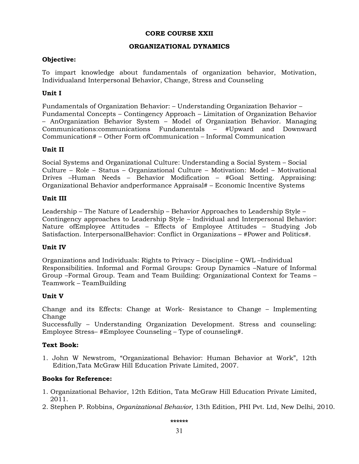### **CORE COURSE XXII**

### **ORGANIZATIONAL DYNAMICS**

### **Objective:**

To impart knowledge about fundamentals of organization behavior, Motivation, Individualand Interpersonal Behavior, Change, Stress and Counseling

# **Unit I**

Fundamentals of Organization Behavior: – Understanding Organization Behavior – Fundamental Concepts – Contingency Approach – Limitation of Organization Behavior – AnOrganization Behavior System – Model of Organization Behavior. Managing Communications:communications Fundamentals – #Upward and Downward Communication# – Other Form ofCommunication – Informal Communication

# **Unit II**

Social Systems and Organizational Culture: Understanding a Social System – Social Culture – Role – Status – Organizational Culture – Motivation: Model – Motivational Drives –Human Needs – Behavior Modification – #Goal Setting. Appraising: Organizational Behavior andperformance Appraisal# – Economic Incentive Systems

### **Unit III**

Leadership – The Nature of Leadership – Behavior Approaches to Leadership Style – Contingency approaches to Leadership Style – Individual and Interpersonal Behavior: Nature ofEmployee Attitudes – Effects of Employee Attitudes – Studying Job Satisfaction. InterpersonalBehavior: Conflict in Organizations – #Power and Politics#.

# **Unit IV**

Organizations and Individuals: Rights to Privacy – Discipline – QWL –Individual Responsibilities. Informal and Formal Groups: Group Dynamics –Nature of Informal Group –Formal Group. Team and Team Building: Organizational Context for Teams – Teamwork – TeamBuilding

#### **Unit V**

Change and its Effects: Change at Work- Resistance to Change – Implementing Change

Successfully – Understanding Organization Development. Stress and counseling: Employee Stress– #Employee Counseling – Type of counseling#.

# **Text Book:**

1. John W Newstrom, "Organizational Behavior: Human Behavior at Work", 12th Edition,Tata McGraw Hill Education Private Limited, 2007.

# **Books for Reference:**

- 1. Organizational Behavior, 12th Edition, Tata McGraw Hill Education Private Limited, 2011.
- 2. Stephen P. Robbins, *Organizational Behavior*, 13th Edition, PHI Pvt. Ltd, New Delhi, 2010.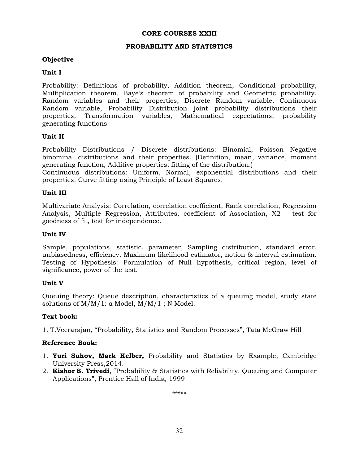#### **CORE COURSES XXIII**

#### **PROBABILITY AND STATISTICS**

### **Objective**

### **Unit I**

Probability: Definitions of probability, Addition theorem, Conditional probability, Multiplication theorem, Baye's theorem of probability and Geometric probability. Random variables and their properties, Discrete Random variable, Continuous Random variable, Probability Distribution joint probability distributions their properties, Transformation variables, Mathematical expectations, probability generating functions

### **Unit II**

Probability Distributions / Discrete distributions: Binomial, Poisson Negative binominal distributions and their properties. (Definition, mean, variance, moment generating function, Additive properties, fitting of the distribution.)

Continuous distributions: Uniform, Normal, exponential distributions and their properties. Curve fitting using Principle of Least Squares.

### **Unit III**

Multivariate Analysis: Correlation, correlation coefficient, Rank correlation, Regression Analysis, Multiple Regression, Attributes, coefficient of Association, X2 – test for goodness of fit, test for independence.

#### **Unit IV**

Sample, populations, statistic, parameter, Sampling distribution, standard error, unbiasedness, efficiency, Maximum likelihood estimator, notion & interval estimation. Testing of Hypothesis: Formulation of Null hypothesis, critical region, level of significance, power of the test.

#### **Unit V**

Queuing theory: Queue description, characteristics of a queuing model, study state solutions of M/M/1: α Model, M/M/1 ; N Model.

#### **Text book:**

1. T.Veerarajan, "Probability, Statistics and Random Processes", Tata McGraw Hill

#### **Reference Book:**

- 1. **Yuri Suhov, Mark Kelber,** Probability and Statistics by Example, Cambridge University Press,2014.
- 2. **Kishor S. Trivedi**, "Probability & Statistics with Reliability, Queuing and Computer Applications", Prentice Hall of India, 1999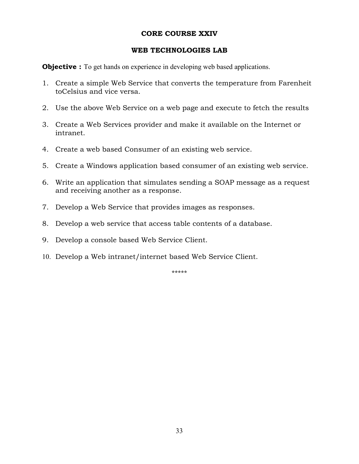# **CORE COURSE XXIV**

# **WEB TECHNOLOGIES LAB**

**Objective :** To get hands on experience in developing web based applications.

- 1. Create a simple Web Service that converts the temperature from Farenheit toCelsius and vice versa.
- 2. Use the above Web Service on a web page and execute to fetch the results
- 3. Create a Web Services provider and make it available on the Internet or intranet.
- 4. Create a web based Consumer of an existing web service.
- 5. Create a Windows application based consumer of an existing web service.
- 6. Write an application that simulates sending a SOAP message as a request and receiving another as a response.
- 7. Develop a Web Service that provides images as responses.
- 8. Develop a web service that access table contents of a database.
- 9. Develop a console based Web Service Client.
- 10. Develop a Web intranet/internet based Web Service Client.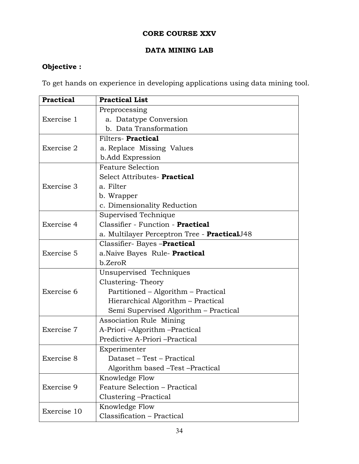# **CORE COURSE XXV**

# **DATA MINING LAB**

# **Objective :**

To get hands on experience in developing applications using data mining tool.

| <b>Practical</b> | <b>Practical List</b>                        |
|------------------|----------------------------------------------|
|                  | Preprocessing                                |
| Exercise 1       | a. Datatype Conversion                       |
|                  | b. Data Transformation                       |
|                  | Filters-Practical                            |
| Exercise 2       | a. Replace Missing Values                    |
|                  | b. Add Expression                            |
|                  | <b>Feature Selection</b>                     |
|                  | Select Attributes- Practical                 |
| Exercise 3       | a. Filter                                    |
|                  | b. Wrapper                                   |
|                  | c. Dimensionality Reduction                  |
|                  | Supervised Technique                         |
| Exercise 4       | Classifier - Function - Practical            |
|                  | a. Multilayer Perceptron Tree - PracticalJ48 |
|                  | Classifier- Bayes -Practical                 |
| Exercise 5       | a.Naive Bayes Rule- <b>Practical</b>         |
|                  | b.ZeroR                                      |
|                  | Unsupervised Techniques                      |
|                  | Clustering-Theory                            |
| Exercise 6       | Partitioned – Algorithm – Practical          |
|                  | Hierarchical Algorithm - Practical           |
|                  | Semi Supervised Algorithm - Practical        |
|                  | Association Rule Mining                      |
| Exercise 7       | A-Priori -Algorithm -Practical               |
|                  | Predictive A-Priori -Practical               |
|                  | Experimenter                                 |
| Exercise 8       | Dataset - Test - Practical                   |
|                  | Algorithm based -Test -Practical             |
|                  | Knowledge Flow                               |
| Exercise 9       | Feature Selection - Practical                |
|                  | Clustering – Practical                       |
|                  | Knowledge Flow                               |
| Exercise 10      | Classification - Practical                   |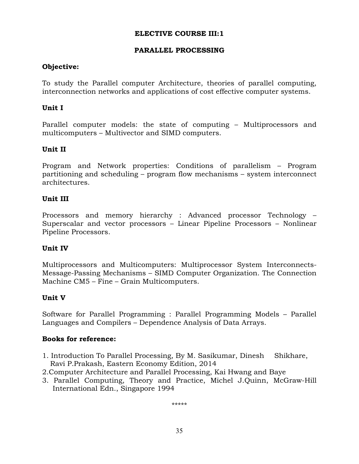# **PARALLEL PROCESSING**

# **Objective:**

To study the Parallel computer Architecture, theories of parallel computing, interconnection networks and applications of cost effective computer systems.

# **Unit I**

Parallel computer models: the state of computing – Multiprocessors and multicomputers – Multivector and SIMD computers.

# **Unit II**

Program and Network properties: Conditions of parallelism – Program partitioning and scheduling – program flow mechanisms – system interconnect architectures.

# **Unit III**

Processors and memory hierarchy : Advanced processor Technology – Superscalar and vector processors – Linear Pipeline Processors – Nonlinear Pipeline Processors.

# **Unit IV**

Multiprocessors and Multicomputers: Multiprocessor System Interconnects-Message-Passing Mechanisms – SIMD Computer Organization. The Connection Machine CM5 – Fine – Grain Multicomputers.

# **Unit V**

Software for Parallel Programming : Parallel Programming Models – Parallel Languages and Compilers – Dependence Analysis of Data Arrays.

# **Books for reference:**

- 1. Introduction To Parallel Processing, By M. Sasikumar, Dinesh Shikhare, Ravi P.Prakash, Eastern Economy Edition, 2014
- 2.Computer Architecture and Parallel Processing, Kai Hwang and Baye
- 3. Parallel Computing, Theory and Practice, Michel J.Quinn, McGraw-Hill International Edn., Singapore 1994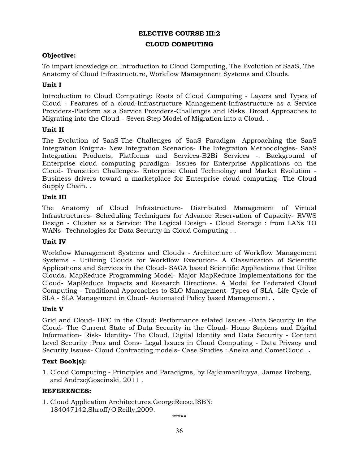#### **CLOUD COMPUTING**

### **Objective:**

To impart knowledge on Introduction to Cloud Computing, The Evolution of SaaS, The Anatomy of Cloud Infrastructure, Workflow Management Systems and Clouds.

### **Unit I**

Introduction to Cloud Computing: Roots of Cloud Computing - Layers and Types of Cloud - Features of a cloud-Infrastructure Management-Infrastructure as a Service Providers-Platform as a Service Providers-Challenges and Risks. Broad Approaches to Migrating into the Cloud - Seven Step Model of Migration into a Cloud. .

### **Unit II**

The Evolution of SaaS-The Challenges of SaaS Paradigm- Approaching the SaaS Integration Enigma- New Integration Scenarios- The Integration Methodologies- SaaS Integration Products, Platforms and Services-B2Bi Services -. Background of Enterprise cloud computing paradigm- Issues for Enterprise Applications on the Cloud- Transition Challenges- Enterprise Cloud Technology and Market Evolution - Business drivers toward a marketplace for Enterprise cloud computing- The Cloud Supply Chain. .

### **Unit III**

The Anatomy of Cloud Infrastructure- Distributed Management of Virtual Infrastructures- Scheduling Techniques for Advance Reservation of Capacity- RVWS Design - Cluster as a Service: The Logical Design - Cloud Storage : from LANs TO WANs- Technologies for Data Security in Cloud Computing . .

#### **Unit IV**

Workflow Management Systems and Clouds - Architecture of Workflow Management Systems - Utilizing Clouds for Workflow Execution- A Classification of Scientific Applications and Services in the Cloud- SAGA based Scientific Applications that Utilize Clouds. MapReduce Programming Model- Major MapReduce Implementations for the Cloud- MapReduce Impacts and Research Directions. A Model for Federated Cloud Computing - Traditional Approaches to SLO Management- Types of SLA -Life Cycle of SLA - SLA Management in Cloud- Automated Policy based Management. **.** 

#### **Unit V**

Grid and Cloud- HPC in the Cloud: Performance related Issues -Data Security in the Cloud- The Current State of Data Security in the Cloud- Homo Sapiens and Digital Information- Risk- Identity- The Cloud, Digital Identity and Data Security - Content Level Security :Pros and Cons- Legal Issues in Cloud Computing - Data Privacy and Security Issues- Cloud Contracting models- Case Studies : Aneka and CometCloud. **.** 

#### **Text Book(s):**

1. Cloud Computing - Principles and Paradigms, by RajkumarBuyya, James Broberg, and AndrzejGoscinski. 2011 .

#### **REFERENCES:**

1. Cloud Application Architectures,GeorgeReese,ISBN: 184047142,Shroff/O'Reilly,2009.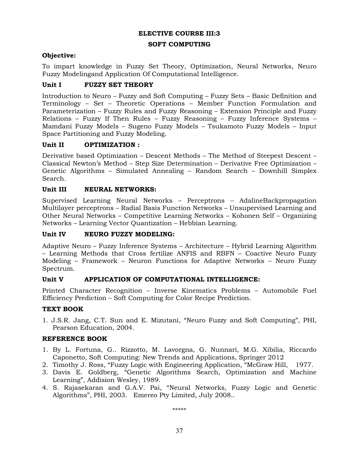#### **SOFT COMPUTING**

### **Objective:**

To impart knowledge in Fuzzy Set Theory, Optimization, Neural Networks, Neuro Fuzzy Modelingand Application Of Computational Intelligence.

# **Unit I FUZZY SET THEORY**

Introduction to Neuro – Fuzzy and Soft Computing – Fuzzy Sets – Basic Definition and Terminology – Set – Theoretic Operations – Member Function Formulation and Parameterization – Fuzzy Rules and Fuzzy Reasoning – Extension Principle and Fuzzy Relations – Fuzzy If Then Rules – Fuzzy Reasoning – Fuzzy Inference Systems – Mamdani Fuzzy Models – Sugeno Fuzzy Models – Tsukamoto Fuzzy Models – Input Space Partitioning and Fuzzy Modeling.

# **Unit II OPTIMIZATION :**

Derivative based Optimization – Descent Methods – The Method of Steepest Descent – Classical Newton's Method – Step Size Determination – Derivative Free Optimization – Genetic Algorithms – Simulated Annealing – Random Search – Downhill Simplex Search.

### **Unit III NEURAL NETWORKS:**

Supervised Learning Neural Networks – Perceptrons – AdalineBackpropagation Multilayer perceptrons – Radial Basis Function Networks – Unsupervised Learning and Other Neural Networks – Competitive Learning Networks – Kohonen Self – Organizing Networks – Learning Vector Quantization – Hebbian Learning.

#### **Unit IV NEURO FUZZY MODELING:**

Adaptive Neuro – Fuzzy Inference Systems – Architecture – Hybrid Learning Algorithm – Learning Methods that Cross fertilize ANFIS and RBFN – Coactive Neuro Fuzzy Modeling – Framework – Neuron Functions for Adaptive Networks – Neuro Fuzzy Spectrum.

# **Unit V APPLICATION OF COMPUTATIONAL INTELLIGENCE:**

Printed Character Recognition – Inverse Kinematics Problems – Automobile Fuel Efficiency Prediction – Soft Computing for Color Recipe Prediction.

# **TEXT BOOK**

1. J.S.R. Jang, C.T. Sun and E. Mizutani, "Neuro Fuzzy and Soft Computing", PHI, Pearson Education, 2004.

# **REFERENCE BOOK**

- 1. By L. Fortuna, G.. Rizzotto, M. Lavorgna, G. Nunnari, M.G. Xibilia, Riccardo Caponetto, Soft Computing: New Trends and Applications, Springer 2012
- 2. Timothy J. Ross, "Fuzzy Logic with Engineering Application, "McGraw Hill, 1977.
- 3. Davis E. Goldberg, "Genetic Algorithms Search, Optimization and Machine Learning", Addision Wesley, 1989.
- 4. S. Rajasekaran and G.A.V. Pai, "Neural Networks, Fuzzy Logic and Genetic Algorithms", PHI, 2003. Emereo Pty Limited, July 2008..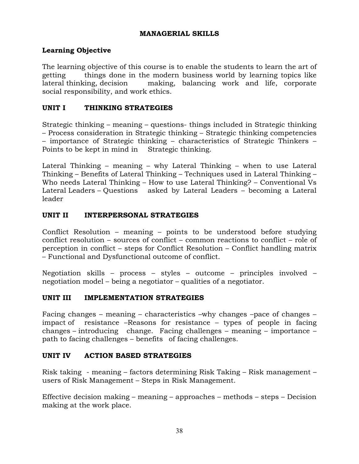# **MANAGERIAL SKILLS**

# **Learning Objective**

The learning objective of this course is to enable the students to learn the art of getting things done in the modern business world by learning topics like lateral thinking, decision making, balancing work and life, corporate social responsibility, and work ethics.

# **UNIT I THINKING STRATEGIES**

Strategic thinking – meaning – questions- things included in Strategic thinking – Process consideration in Strategic thinking – Strategic thinking competencies – importance of Strategic thinking – characteristics of Strategic Thinkers – Points to be kept in mind in Strategic thinking.

Lateral Thinking – meaning – why Lateral Thinking – when to use Lateral Thinking – Benefits of Lateral Thinking – Techniques used in Lateral Thinking – Who needs Lateral Thinking – How to use Lateral Thinking? – Conventional Vs Lateral Leaders – Questions asked by Lateral Leaders – becoming a Lateral leader

# **UNIT II INTERPERSONAL STRATEGIES**

Conflict Resolution – meaning – points to be understood before studying conflict resolution – sources of conflict – common reactions to conflict – role of perception in conflict – steps for Conflict Resolution – Conflict handling matrix – Functional and Dysfunctional outcome of conflict.

Negotiation skills – process – styles – outcome – principles involved – negotiation model – being a negotiator – qualities of a negotiator.

# **UNIT III IMPLEMENTATION STRATEGIES**

Facing changes – meaning – characteristics –why changes –pace of changes – impact of resistance –Reasons for resistance – types of people in facing changes – introducing change. Facing challenges – meaning – importance – path to facing challenges – benefits of facing challenges.

# **UNIT IV ACTION BASED STRATEGIES**

Risk taking - meaning – factors determining Risk Taking – Risk management – users of Risk Management – Steps in Risk Management.

Effective decision making – meaning – approaches – methods – steps – Decision making at the work place.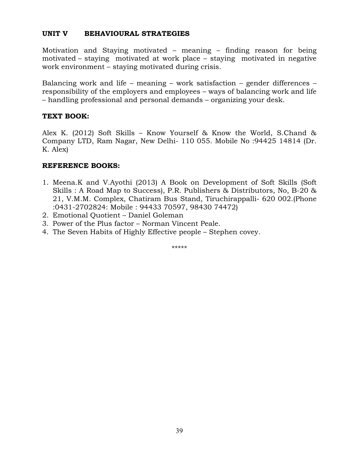# **UNIT V BEHAVIOURAL STRATEGIES**

Motivation and Staying motivated – meaning – finding reason for being motivated – staying motivated at work place – staying motivated in negative work environment – staying motivated during crisis.

Balancing work and life – meaning – work satisfaction – gender differences – responsibility of the employers and employees – ways of balancing work and life – handling professional and personal demands – organizing your desk.

# **TEXT BOOK:**

Alex K. (2012) Soft Skills – Know Yourself & Know the World, S.Chand & Company LTD, Ram Nagar, New Delhi- 110 055. Mobile No :94425 14814 (Dr. K. Alex)

# **REFERENCE BOOKS:**

- 1. Meena.K and V.Ayothi (2013) A Book on Development of Soft Skills (Soft Skills : A Road Map to Success), P.R. Publishers & Distributors, No, B-20 & 21, V.M.M. Complex, Chatiram Bus Stand, Tiruchirappalli- 620 002.(Phone :0431-2702824: Mobile : 94433 70597, 98430 74472)
- 2. Emotional Quotient Daniel Goleman
- 3. Power of the Plus factor Norman Vincent Peale.
- 4. The Seven Habits of Highly Effective people Stephen covey.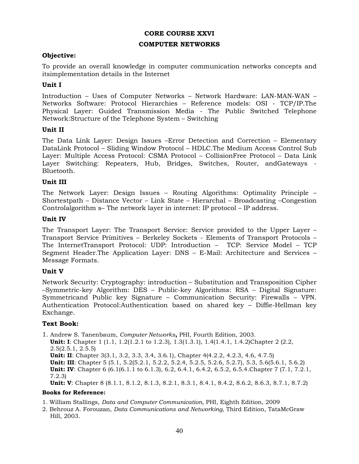### **CORE COURSE XXVI**

#### **COMPUTER NETWORKS**

### **Objective:**

To provide an overall knowledge in computer communication networks concepts and itsimplementation details in the Internet

### **Unit I**

Introduction – Uses of Computer Networks – Network Hardware: LAN-MAN-WAN – Networks Software: Protocol Hierarchies – Reference models: OSI - TCP/IP.The Physical Layer: Guided Transmission Media - The Public Switched Telephone Network:Structure of the Telephone System – Switching

### **Unit II**

The Data Link Layer: Design Issues –Error Detection and Correction – Elementary DataLink Protocol – Sliding Window Protocol – HDLC.The Medium Access Control Sub Layer: Multiple Access Protocol: CSMA Protocol – CollisionFree Protocol – Data Link Layer Switching: Repeaters, Hub, Bridges, Switches, Router, andGateways - Bluetooth.

#### **Unit III**

The Network Layer: Design Issues – Routing Algorithms: Optimality Principle – Shortestpath – Distance Vector – Link State – Hierarchal – Broadcasting –Congestion Controlalgorithm s– The network layer in internet: IP protocol – IP address.

### **Unit IV**

The Transport Layer: The Transport Service: Service provided to the Upper Layer – Transport Service Primitives – Berkeley Sockets - Elements of Transport Protocols – The InternetTransport Protocol: UDP: Introduction – TCP: Service Model – TCP Segment Header.The Application Layer: DNS – E-Mail: Architecture and Services – Message Formats.

#### **Unit V**

Network Security: Cryptography: introduction – Substitution and Transposition Cipher –Symmetric-key Algorithm: DES – Public-key Algorithms: RSA – Digital Signature: Symmetricand Public key Signature – Communication Security: Firewalls – VPN. Authentication Protocol:Authentication based on shared key – Diffie-Hellman key Exchange.

# **Text Book:**

1. Andrew S. Tanenbaum, *Computer Networks***,** PHI, Fourth Edition, 2003.

**Unit: I**: Chapter 1 (1.1, 1.2(1.2.1 to 1.2.3), 1.3(1.3.1), 1.4(1.4.1, 1.4.2)Chapter 2 (2.2, 2.5(2.5.1, 2.5.5) **Unit: II**: Chapter 3(3.1, 3.2, 3.3, 3.4, 3.6.1), Chapter 4(4.2.2, 4.2.3, 4.6, 4.7.5) **Unit: III**: Chapter 5 (5.1, 5.2(5.2.1, 5.2.2, 5.2.4, 5.2.5, 5.2.6, 5.2.7), 5.3, 5.6(5.6.1, 5.6.2) **Unit: IV**: Chapter 6 (6.1(6.1.1 to 6.1.3), 6.2, 6.4.1, 6.4.2, 6.5.2, 6.5.4.Chapter 7 (7.1, 7.2.1, 7.2.3)

**Unit: V**: Chapter 8 (8.1.1, 8.1.2, 8.1.3, 8.2.1, 8.3.1, 8.4.1, 8.4.2, 8.6.2, 8.6.3, 8.7.1, 8.7.2)

### **Books for Reference:**

1. William Stallings, *Data and Computer Communication*, PHI, Eighth Edition, 2009

2. Behrouz A. Forouzan, *Data Communications and Networking*, Third Edition, TataMcGraw Hill, 2003.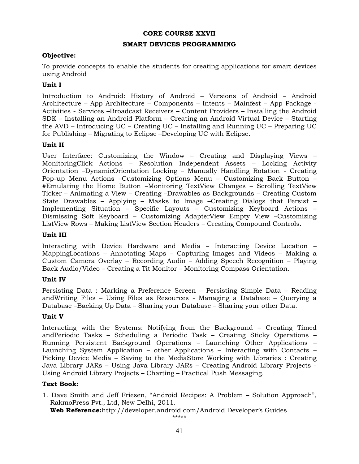### **CORE COURSE XXVII**

### **SMART DEVICES PROGRAMMING**

# **Objective:**

To provide concepts to enable the students for creating applications for smart devices using Android

# **Unit I**

Introduction to Android: History of Android – Versions of Android – Android Architecture – App Architecture – Components – Intents – Mainfest – App Package - Activities - Services –Broadcast Receivers – Content Providers – Installing the Android SDK – Installing an Android Platform – Creating an Android Virtual Device – Starting the AVD – Introducing UC – Creating UC – Installing and Running UC – Preparing UC for Publishing – Migrating to Eclipse –Developing UC with Eclipse.

# **Unit II**

User Interface: Customizing the Window – Creating and Displaying Views – MonitoringClick Actions – Resolution Independent Assets – Locking Activity Orientation –DynamicOrientation Locking – Manually Handling Rotation - Creating Pop-up Menu Actions –Customizing Options Menu – Customizing Back Button – #Emulating the Home Button –Monitoring TextView Changes – Scrolling TextView Ticker – Animating a View – Creating –Drawables as Backgrounds – Creating Custom State Drawables – Applying – Masks to Image –Creating Dialogs that Persist – Implementing Situation – Specific Layouts – Customizing Keyboard Actions – Dismissing Soft Keyboard – Customizing AdapterView Empty View –Customizing ListView Rows – Making ListView Section Headers – Creating Compound Controls.

# **Unit III**

Interacting with Device Hardware and Media – Interacting Device Location – MappingLocations – Annotating Maps – Capturing Images and Videos – Making a Custom Camera Overlay – Recording Audio – Adding Speech Recognition – Playing Back Audio/Video – Creating a Tit Monitor – Monitoring Compass Orientation.

# **Unit IV**

Persisting Data : Marking a Preference Screen – Persisting Simple Data – Reading andWriting Files – Using Files as Resources - Managing a Database – Querying a Database –Backing Up Data – Sharing your Database – Sharing your other Data.

# **Unit V**

Interacting with the Systems: Notifying from the Background – Creating Timed andPeriodic Tasks – Scheduling a Periodic Task – Creating Sticky Operations – Running Persistent Background Operations – Launching Other Applications – Launching System Application – other Applications – Interacting with Contacts – Picking Device Media – Saving to the MediaStore Working with Libraries : Creating Java Library JARs – Using Java Library JARs – Creating Android Library Projects - Using Android Library Projects – Charting – Practical Push Messaging.

# **Text Book:**

1. Dave Smith and Jeff Friesen, "Android Recipes: A Problem – Solution Approach", RakmoPress Pvt., Ltd, New Delhi, 2011.

**Web Reference:**http://developer.android.com/Android Developer's Guides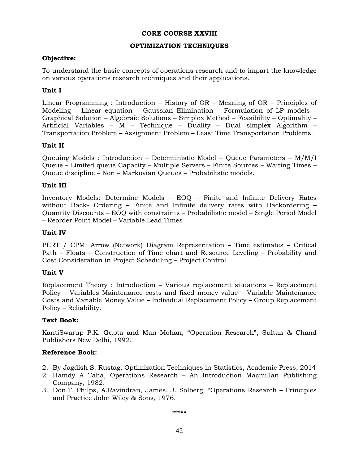### **CORE COURSE XXVIII**

### **OPTIMIZATION TECHNIQUES**

### **Objective:**

To understand the basic concepts of operations research and to impart the knowledge on various operations research techniques and their applications.

# **Unit I**

Linear Programming : Introduction – History of OR – Meaning of OR – Principles of Modeling – Linear equation – Gaussian Elimination – Formulation of LP models – Graphical Solution – Algebraic Solutions – Simplex Method – Feasibility – Optimality – Artificial Variables – M – Technique – Duality – Dual simplex Algorithm – Transportation Problem – Assignment Problem – Least Time Transportation Problems.

### **Unit II**

Queuing Models : Introduction – Deterministic Model – Queue Parameters – M/M/I Queue – Limited queue Capacity – Multiple Servers – Finite Sources – Waiting Times – Queue discipline – Non – Markovian Queues – Probabilistic models.

### **Unit III**

Inventory Models: Determine Models – EOQ – Finite and Infinite Delivery Rates without Back- Ordering – Finite and Infinite delivery rates with Backordering – Quantity Discounts – EOQ with constraints – Probabilistic model – Single Period Model – Reorder Point Model – Variable Lead Times

#### **Unit IV**

PERT / CPM: Arrow (Network) Diagram Representation – Time estimates – Critical Path – Floats – Construction of Time chart and Resource Leveling – Probability and Cost Consideration in Project Scheduling – Project Control.

#### **Unit V**

Replacement Theory : Introduction – Various replacement situations – Replacement Policy – Variables Maintenance costs and fixed money value – Variable Maintenance Costs and Variable Money Value – Individual Replacement Policy – Group Replacement Policy – Reliability.

#### **Text Book:**

KantiSwarup P.K. Gupta and Man Mohan, "Operation Research", Sultan & Chand Publishers New Delhi, 1992.

#### **Reference Book:**

- 2. By Jagdish S. Rustag, Optimization Techniques in Statistics, Academic Press, 2014
- 2. Hamdy A Taha, Operations Research An Introduction Macmillan Publishing Company, 1982.
- 3. Don.T. Philps, A.Ravindran, James. J. Solberg, "Operations Research Principles and Practice John Wiley & Sons, 1976.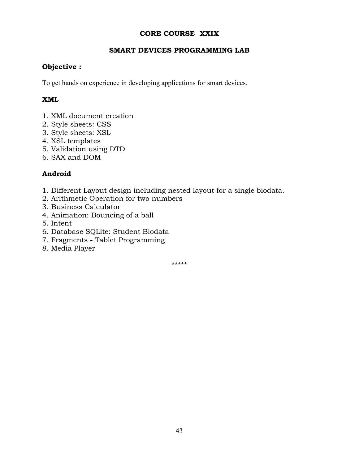# **CORE COURSE XXIX**

# **SMART DEVICES PROGRAMMING LAB**

# **Objective :**

To get hands on experience in developing applications for smart devices.

# **XML**

- 1. XML document creation
- 2. Style sheets: CSS
- 3. Style sheets: XSL
- 4. XSL templates
- 5. Validation using DTD
- 6. SAX and DOM

# **Android**

- 1. Different Layout design including nested layout for a single biodata.
- 2. Arithmetic Operation for two numbers
- 3. Business Calculator
- 4. Animation: Bouncing of a ball
- 5. Intent
- 6. Database SQLite: Student Biodata
- 7. Fragments Tablet Programming
- 8. Media Player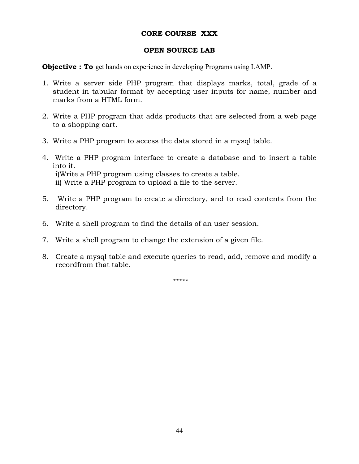# **CORE COURSE XXX**

### **OPEN SOURCE LAB**

**Objective : To** get hands on experience in developing Programs using LAMP.

- 1. Write a server side PHP program that displays marks, total, grade of a student in tabular format by accepting user inputs for name, number and marks from a HTML form.
- 2. Write a PHP program that adds products that are selected from a web page to a shopping cart.
- 3. Write a PHP program to access the data stored in a mysql table.
- 4. Write a PHP program interface to create a database and to insert a table into it. i)Write a PHP program using classes to create a table. ii) Write a PHP program to upload a file to the server.
- 5. Write a PHP program to create a directory, and to read contents from the directory.
- 6. Write a shell program to find the details of an user session.
- 7. Write a shell program to change the extension of a given file.
- 8. Create a mysql table and execute queries to read, add, remove and modify a recordfrom that table.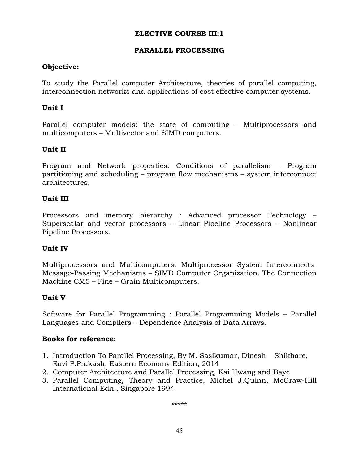# **PARALLEL PROCESSING**

# **Objective:**

To study the Parallel computer Architecture, theories of parallel computing, interconnection networks and applications of cost effective computer systems.

# **Unit I**

Parallel computer models: the state of computing – Multiprocessors and multicomputers – Multivector and SIMD computers.

# **Unit II**

Program and Network properties: Conditions of parallelism – Program partitioning and scheduling – program flow mechanisms – system interconnect architectures.

# **Unit III**

Processors and memory hierarchy : Advanced processor Technology – Superscalar and vector processors – Linear Pipeline Processors – Nonlinear Pipeline Processors.

# **Unit IV**

Multiprocessors and Multicomputers: Multiprocessor System Interconnects-Message-Passing Mechanisms – SIMD Computer Organization. The Connection Machine CM5 – Fine – Grain Multicomputers.

# **Unit V**

Software for Parallel Programming : Parallel Programming Models – Parallel Languages and Compilers – Dependence Analysis of Data Arrays.

# **Books for reference:**

- 1. Introduction To Parallel Processing, By M. Sasikumar, Dinesh Shikhare, Ravi P.Prakash, Eastern Economy Edition, 2014
- 2. Computer Architecture and Parallel Processing, Kai Hwang and Baye
- 3. Parallel Computing, Theory and Practice, Michel J.Quinn, McGraw-Hill International Edn., Singapore 1994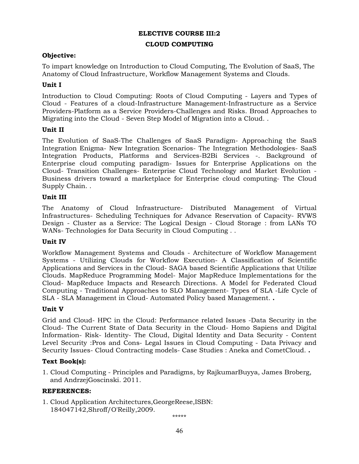#### **CLOUD COMPUTING**

### **Objective:**

To impart knowledge on Introduction to Cloud Computing, The Evolution of SaaS, The Anatomy of Cloud Infrastructure, Workflow Management Systems and Clouds.

### **Unit I**

Introduction to Cloud Computing: Roots of Cloud Computing - Layers and Types of Cloud - Features of a cloud-Infrastructure Management-Infrastructure as a Service Providers-Platform as a Service Providers-Challenges and Risks. Broad Approaches to Migrating into the Cloud - Seven Step Model of Migration into a Cloud. .

### **Unit II**

The Evolution of SaaS-The Challenges of SaaS Paradigm- Approaching the SaaS Integration Enigma- New Integration Scenarios- The Integration Methodologies- SaaS Integration Products, Platforms and Services-B2Bi Services -. Background of Enterprise cloud computing paradigm- Issues for Enterprise Applications on the Cloud- Transition Challenges- Enterprise Cloud Technology and Market Evolution - Business drivers toward a marketplace for Enterprise cloud computing- The Cloud Supply Chain. .

### **Unit III**

The Anatomy of Cloud Infrastructure- Distributed Management of Virtual Infrastructures- Scheduling Techniques for Advance Reservation of Capacity- RVWS Design - Cluster as a Service: The Logical Design - Cloud Storage : from LANs TO WANs- Technologies for Data Security in Cloud Computing . .

#### **Unit IV**

Workflow Management Systems and Clouds - Architecture of Workflow Management Systems - Utilizing Clouds for Workflow Execution- A Classification of Scientific Applications and Services in the Cloud- SAGA based Scientific Applications that Utilize Clouds. MapReduce Programming Model- Major MapReduce Implementations for the Cloud- MapReduce Impacts and Research Directions. A Model for Federated Cloud Computing - Traditional Approaches to SLO Management- Types of SLA -Life Cycle of SLA - SLA Management in Cloud- Automated Policy based Management. **.** 

#### **Unit V**

Grid and Cloud- HPC in the Cloud: Performance related Issues -Data Security in the Cloud- The Current State of Data Security in the Cloud- Homo Sapiens and Digital Information- Risk- Identity- The Cloud, Digital Identity and Data Security - Content Level Security :Pros and Cons- Legal Issues in Cloud Computing - Data Privacy and Security Issues- Cloud Contracting models- Case Studies : Aneka and CometCloud. **.** 

#### **Text Book(s):**

1. Cloud Computing - Principles and Paradigms, by RajkumarBuyya, James Broberg, and AndrzejGoscinski. 2011.

#### **REFERENCES:**

1. Cloud Application Architectures,GeorgeReese,ISBN: 184047142,Shroff/O'Reilly,2009.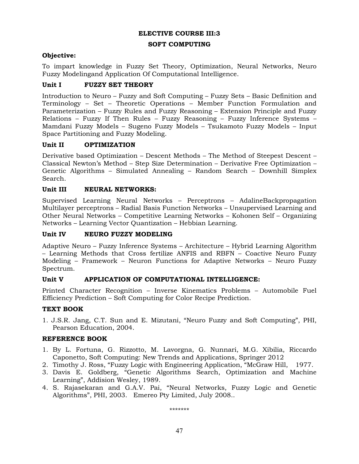#### **SOFT COMPUTING**

### **Objective:**

To impart knowledge in Fuzzy Set Theory, Optimization, Neural Networks, Neuro Fuzzy Modelingand Application Of Computational Intelligence.

# **Unit I FUZZY SET THEORY**

Introduction to Neuro – Fuzzy and Soft Computing – Fuzzy Sets – Basic Definition and Terminology – Set – Theoretic Operations – Member Function Formulation and Parameterization – Fuzzy Rules and Fuzzy Reasoning – Extension Principle and Fuzzy Relations – Fuzzy If Then Rules – Fuzzy Reasoning – Fuzzy Inference Systems – Mamdani Fuzzy Models – Sugeno Fuzzy Models – Tsukamoto Fuzzy Models – Input Space Partitioning and Fuzzy Modeling.

# **Unit II OPTIMIZATION**

Derivative based Optimization – Descent Methods – The Method of Steepest Descent – Classical Newton's Method – Step Size Determination – Derivative Free Optimization – Genetic Algorithms – Simulated Annealing – Random Search – Downhill Simplex Search.

### **Unit III NEURAL NETWORKS:**

Supervised Learning Neural Networks – Perceptrons – AdalineBackpropagation Multilayer perceptrons – Radial Basis Function Networks – Unsupervised Learning and Other Neural Networks – Competitive Learning Networks – Kohonen Self – Organizing Networks – Learning Vector Quantization – Hebbian Learning.

### **Unit IV NEURO FUZZY MODELING**

Adaptive Neuro – Fuzzy Inference Systems – Architecture – Hybrid Learning Algorithm – Learning Methods that Cross fertilize ANFIS and RBFN – Coactive Neuro Fuzzy Modeling – Framework – Neuron Functions for Adaptive Networks – Neuro Fuzzy Spectrum.

# **Unit V APPLICATION OF COMPUTATIONAL INTELLIGENCE:**

Printed Character Recognition – Inverse Kinematics Problems – Automobile Fuel Efficiency Prediction – Soft Computing for Color Recipe Prediction.

# **TEXT BOOK**

1. J.S.R. Jang, C.T. Sun and E. Mizutani, "Neuro Fuzzy and Soft Computing", PHI, Pearson Education, 2004.

# **REFERENCE BOOK**

- 1. By L. Fortuna, G. Rizzotto, M. Lavorgna, G. Nunnari, M.G. Xibilia, Riccardo Caponetto, Soft Computing: New Trends and Applications, Springer 2012
- 2. Timothy J. Ross, "Fuzzy Logic with Engineering Application, "McGraw Hill, 1977.
- 3. Davis E. Goldberg, "Genetic Algorithms Search, Optimization and Machine Learning", Addision Wesley, 1989.
- 4. S. Rajasekaran and G.A.V. Pai, "Neural Networks, Fuzzy Logic and Genetic Algorithms", PHI, 2003. Emereo Pty Limited, July 2008..

\*\*\*\*\*\*\*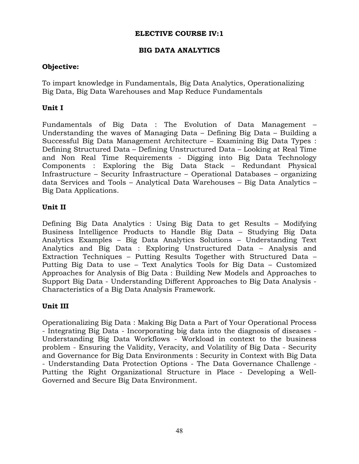# **BIG DATA ANALYTICS**

# **Objective:**

To impart knowledge in Fundamentals, Big Data Analytics, Operationalizing Big Data, Big Data Warehouses and Map Reduce Fundamentals

# **Unit I**

Fundamentals of Big Data : The Evolution of Data Management – Understanding the waves of Managing Data – Defining Big Data – Building a Successful Big Data Management Architecture – Examining Big Data Types : Defining Structured Data – Defining Unstructured Data – Looking at Real Time and Non Real Time Requirements - Digging into Big Data Technology Components : Exploring the Big Data Stack – Redundant Physical Infrastructure – Security Infrastructure – Operational Databases – organizing data Services and Tools – Analytical Data Warehouses – Big Data Analytics – Big Data Applications.

# **Unit II**

Defining Big Data Analytics : Using Big Data to get Results – Modifying Business Intelligence Products to Handle Big Data – Studying Big Data Analytics Examples – Big Data Analytics Solutions – Understanding Text Analytics and Big Data : Exploring Unstructured Data – Analysis and Extraction Techniques – Putting Results Together with Structured Data – Putting Big Data to use – Text Analytics Tools for Big Data – Customized Approaches for Analysis of Big Data : Building New Models and Approaches to Support Big Data - Understanding Different Approaches to Big Data Analysis - Characteristics of a Big Data Analysis Framework.

# **Unit III**

Operationalizing Big Data : Making Big Data a Part of Your Operational Process - Integrating Big Data - Incorporating big data into the diagnosis of diseases - Understanding Big Data Workflows - Workload in context to the business problem - Ensuring the Validity, Veracity, and Volatility of Big Data - Security and Governance for Big Data Environments : Security in Context with Big Data - Understanding Data Protection Options - The Data Governance Challenge - Putting the Right Organizational Structure in Place - Developing a Well-Governed and Secure Big Data Environment.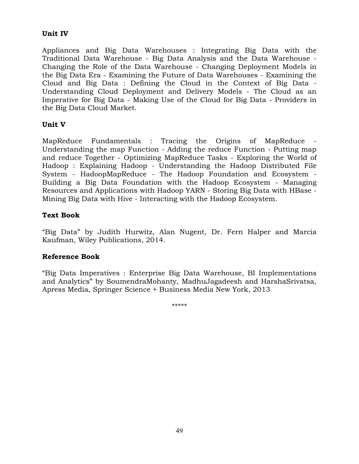# **Unit IV**

Appliances and Big Data Warehouses : Integrating Big Data with the Traditional Data Warehouse - Big Data Analysis and the Data Warehouse - Changing the Role of the Data Warehouse - Changing Deployment Models in the Big Data Era - Examining the Future of Data Warehouses - Examining the Cloud and Big Data : Defining the Cloud in the Context of Big Data - Understanding Cloud Deployment and Delivery Models - The Cloud as an Imperative for Big Data - Making Use of the Cloud for Big Data - Providers in the Big Data Cloud Market.

# **Unit V**

MapReduce Fundamentals : Tracing the Origins of MapReduce - Understanding the map Function - Adding the reduce Function - Putting map and reduce Together - Optimizing MapReduce Tasks - Exploring the World of Hadoop : Explaining Hadoop - Understanding the Hadoop Distributed File System - HadoopMapReduce - The Hadoop Foundation and Ecosystem - Building a Big Data Foundation with the Hadoop Ecosystem - Managing Resources and Applications with Hadoop YARN - Storing Big Data with HBase - Mining Big Data with Hive - Interacting with the Hadoop Ecosystem.

# **Text Book**

"Big Data" by Judith Hurwitz, Alan Nugent, Dr. Fern Halper and Marcia Kaufman, Wiley Publications, 2014.

# **Reference Book**

"Big Data Imperatives : Enterprise Big Data Warehouse, BI Implementations and Analytics" by SoumendraMohanty, MadhuJagadeesh and HarshaSrivatsa, Apress Media, Springer Science + Business Media New York, 2013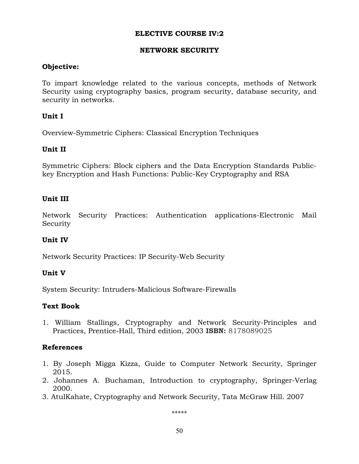# **NETWORK SECURITY**

# **Objective:**

To impart knowledge related to the various concepts, methods of Network Security using cryptography basics, program security, database security, and security in networks.

# **Unit I**

Overview-Symmetric Ciphers: Classical Encryption Techniques

# **Unit II**

Symmetric Ciphers: Block ciphers and the Data Encryption Standards Publickey Encryption and Hash Functions: Public-Key Cryptography and RSA

# **Unit III**

Network Security Practices: Authentication applications-Electronic Mail Security

# **Unit IV**

Network Security Practices: IP Security-Web Security

# **Unit V**

System Security: Intruders-Malicious Software-Firewalls

# **Text Book**

1. William Stallings, Cryptography and Network Security-Principles and Practices, Prentice-Hall, Third edition, 2003 **ISBN:** 8178089025

# **References**

- 1. By Joseph Migga Kizza, Guide to Computer Network Security, Springer 2015.
- 2. Johannes A. Buchaman, Introduction to cryptography, Springer-Verlag 2000.
- 3. AtulKahate, Cryptography and Network Security, Tata McGraw Hill. 2007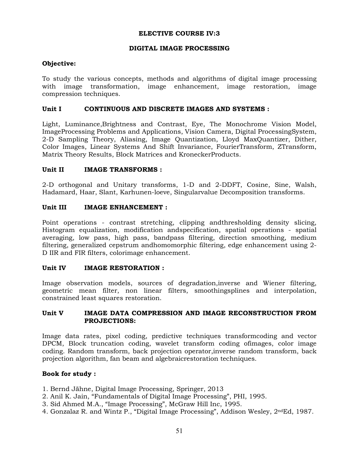#### **DIGITAL IMAGE PROCESSING**

#### **Objective:**

To study the various concepts, methods and algorithms of digital image processing with image transformation, image enhancement, image restoration, image compression techniques.

#### **Unit I CONTINUOUS AND DISCRETE IMAGES AND SYSTEMS :**

Light, Luminance,Brightness and Contrast, Eye, The Monochrome Vision Model, ImageProcessing Problems and Applications, Vision Camera, Digital ProcessingSystem, 2-D Sampling Theory, Aliasing, Image Quantization, Lloyd MaxQuantizer, Dither, Color Images, Linear Systems And Shift Invariance, FourierTransform, ZTransform, Matrix Theory Results, Block Matrices and KroneckerProducts.

#### Unit II **IMAGE TRANSFORMS** :

2-D orthogonal and Unitary transforms, 1-D and 2-DDFT, Cosine, Sine, Walsh, Hadamard, Haar, Slant, Karhunen-loeve, Singularvalue Decomposition transforms.

#### Unit III **IMAGE ENHANCEMENT :**

Point operations - contrast stretching, clipping andthresholding density slicing, Histogram equalization, modification andspecification, spatial operations - spatial averaging, low pass, high pass, bandpass filtering, direction smoothing, medium filtering, generalized cepstrum andhomomorphic filtering, edge enhancement using 2- D IIR and FIR filters, colorimage enhancement.

#### **Unit IV IMAGE RESTORATION :**

Image observation models, sources of degradation,inverse and Wiener filtering, geometric mean filter, non linear filters, smoothingsplines and interpolation, constrained least squares restoration.

#### **Unit V IMAGE DATA COMPRESSION AND IMAGE RECONSTRUCTION FROM PROJECTIONS:**

Image data rates, pixel coding, predictive techniques transformcoding and vector DPCM, Block truncation coding, wavelet transform coding ofimages, color image coding. Random transform, back projection operator,inverse random transform, back projection algorithm, fan beam and algebraicrestoration techniques.

#### **Book for study :**

- 1. Bernd Jähne, Digital Image Processing, Springer, 2013
- 2. Anil K. Jain, "Fundamentals of Digital Image Processing", PHI, 1995.
- 3. Sid Ahmed M.A., "Image Processing", McGraw Hill Inc, 1995.
- 4. Gonzalaz R. and Wintz P., "Digital Image Processing", Addison Wesley, 2ndEd, 1987.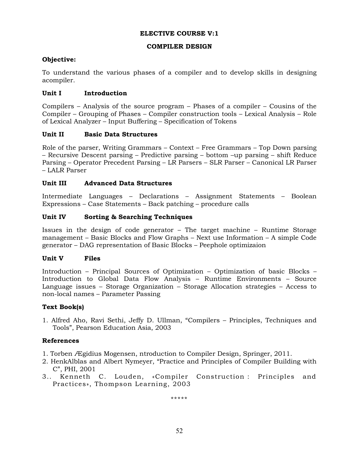### **ELECTIVE COURSE V:1**

### **COMPILER DESIGN**

# **Objective:**

To understand the various phases of a compiler and to develop skills in designing acompiler.

### **Unit I Introduction**

Compilers – Analysis of the source program – Phases of a compiler – Cousins of the Compiler – Grouping of Phases – Compiler construction tools – Lexical Analysis – Role of Lexical Analyzer – Input Buffering – Specification of Tokens

### **Unit II Basic Data Structures**

Role of the parser, Writing Grammars – Context – Free Grammars – Top Down parsing – Recursive Descent parsing – Predictive parsing – bottom –up parsing – shift Reduce Parsing – Operator Precedent Parsing – LR Parsers – SLR Parser – Canonical LR Parser – LALR Parser

### **Unit III Advanced Data Structures**

Intermediate Languages – Declarations – Assignment Statements – Boolean Expressions – Case Statements – Back patching – procedure calls

### **Unit IV Sorting & Searching Techniques**

Issues in the design of code generator – The target machine – Runtime Storage management – Basic Blocks and Flow Graphs – Next use Information – A simple Code generator – DAG representation of Basic Blocks – Peephole optimizaion

#### **Unit V Files**

Introduction – Principal Sources of Optimization – Optimization of basic Blocks – Introduction to Global Data Flow Analysis – Runtime Environments – Source Language issues – Storage Organization – Storage Allocation strategies – Access to non-local names – Parameter Passing

#### **Text Book(s)**

1. Alfred Aho, Ravi Sethi, Jeffy D. Ullman, "Compilers – Principles, Techniques and Tools", Pearson Education Asia, 2003

# **References**

- 1. Torben Ægidius Mogensen, ntroduction to Compiler Design, Springer, 2011.
- 2. HenkAlblas and Albert Nymeyer, "Practice and Principles of Compiler Building with C", PHI, 2001
- 3.. Kenneth C. Louden, «Compiler Construction : Principles and Practices», Thompson Learning, 2003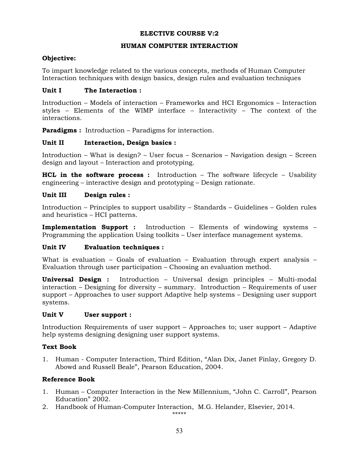### **ELECTIVE COURSE V:2**

#### **HUMAN COMPUTER INTERACTION**

### **Objective:**

To impart knowledge related to the various concepts, methods of Human Computer Interaction techniques with design basics, design rules and evaluation techniques

### Unit I The Interaction :

Introduction – Models of interaction – Frameworks and HCI Ergonomics – Interaction styles – Elements of the WIMP interface – Interactivity – The context of the interactions.

**Paradigms :** Introduction – Paradigms for interaction.

### Unit II Interaction, Design basics :

Introduction – What is design? – User focus – Scenarios – Navigation design – Screen design and layout – Interaction and prototyping.

**HCL in the software process :** Introduction – The software lifecycle – Usability engineering – interactive design and prototyping – Design rationate.

### **Unit III Design rules :**

Introduction – Principles to support usability – Standards – Guidelines – Golden rules and heuristics – HCI patterns.

**Implementation Support :** Introduction – Elements of windowing systems – Programming the application Using toolkits – User interface management systems.

#### **Unit IV Evaluation techniques :**

What is evaluation – Goals of evaluation – Evaluation through expert analysis – Evaluation through user participation – Choosing an evaluation method.

**Universal Design :** Introduction – Universal design principles – Multi-modal interaction – Designing for diversity – summary. Introduction – Requirements of user support – Approaches to user support Adaptive help systems – Designing user support systems.

#### Unit V User support :

Introduction Requirements of user support – Approaches to; user support – Adaptive help systems designing designing user support systems.

# **Text Book**

1. Human - Computer Interaction, Third Edition, "Alan Dix, Janet Finlay, Gregory D. Abowd and Russell Beale", Pearson Education, 2004.

# **Reference Book**

- 1. Human Computer Interaction in the New Millennium, "John C. Carroll", Pearson Education" 2002.
- 2. Handbook of Human-Computer Interaction, M.G. Helander, Elsevier, 2014.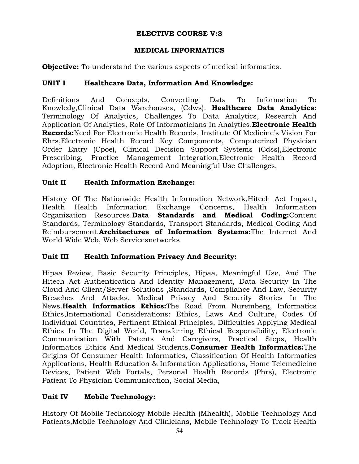# **ELECTIVE COURSE V:3**

# **MEDICAL INFORMATICS**

**Objective:** To understand the various aspects of medical informatics.

# **UNIT I Healthcare Data, Information And Knowledge:**

Definitions And Concepts, Converting Data To Information To Knowledg,Clinical Data Warehouses, (Cdws). **Healthcare Data Analytics:**  Terminology Of Analytics, Challenges To Data Analytics, Research And Application Of Analytics, Role Of Informaticians In Analytics.**Electronic Health Records:**Need For Electronic Health Records, Institute Of Medicine's Vision For Ehrs,Electronic Health Record Key Components, Computerized Physician Order Entry (Cpoe), Clinical Decision Support Systems (Cdss),Electronic Prescribing, Practice Management Integration,Electronic Health Record Adoption, Electronic Health Record And Meaningful Use Challenges,

# **Unit II Health Information Exchange:**

History Of The Nationwide Health Information Network,Hitech Act Impact, Health Health Information Exchange Concerns, Health Information Organization Resources.**Data Standards and Medical Coding:**Content Standards, Terminology Standards, Transport Standards, Medical Coding And Reimbursement.**Architectures of Information Systems:**The Internet And World Wide Web, Web Servicesnetworks

# **Unit III Health Information Privacy And Security:**

Hipaa Review, Basic Security Principles, Hipaa, Meaningful Use, And The Hitech Act Authentication And Identity Management, Data Security In The Cloud And Client/Server Solutions ,Standards, Compliance And Law, Security Breaches And Attacks, Medical Privacy And Security Stories In The News.**Health Informatics Ethics:**The Road From Nuremberg, Informatics Ethics,International Considerations: Ethics, Laws And Culture, Codes Of Individual Countries, Pertinent Ethical Principles, Difficulties Applying Medical Ethics In The Digital World, Transferring Ethical Responsibility, Electronic Communication With Patents And Caregivers, Practical Steps, Health Informatics Ethics And Medical Students.**Consumer Health Informatics:**The Origins Of Consumer Health Informatics, Classification Of Health Informatics Applications, Health Education & Information Applications, Home Telemedicine Devices, Patient Web Portals, Personal Health Records (Phrs), Electronic Patient To Physician Communication, Social Media,

# **Unit IV Mobile Technology:**

History Of Mobile Technology Mobile Health (Mhealth), Mobile Technology And Patients,Mobile Technology And Clinicians, Mobile Technology To Track Health